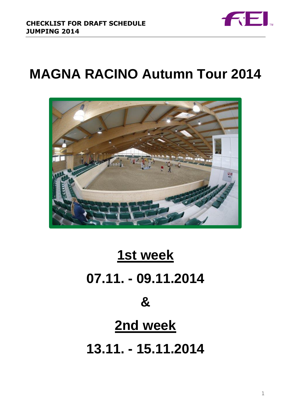

# **MAGNA RACINO Autumn Tour 2014**



# **1st week 07.11. - 09.11.2014 &**

# **2nd week**

**13.11. - 15.11.2014**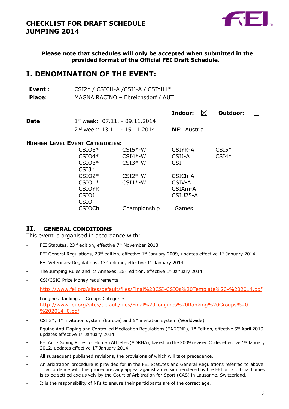

**Please note that schedules will only be accepted when submitted in the provided format of the Official FEI Draft Schedule.**

# **I. DENOMINATION OF THE EVENT:**

| Event :       | CSI2* / CSICH-A / CSIJ-A / CSIYH1* |
|---------------|------------------------------------|
| <b>Place:</b> | MAGNA RACINO - Ebreichsdorf / AUT  |

| $1^{st}$ week: 07.11. - 09.11.2014 |                     |                                             |
|------------------------------------|---------------------|---------------------------------------------|
| $2nd$ week: 13.11. - 15.11.2014    | <b>NF</b> : Austria |                                             |
|                                    |                     | <b>Indoor:</b> $\mathbb{X}$ <b>Outdoor:</b> |

#### **HIGHER LEVEL EVENT CATEGORIES:**

| $CSIO5*$      | $CSI5*-W$    | CSIYR-A     | $CSI5*$ |
|---------------|--------------|-------------|---------|
| $CSIO4*$      | $CSI4*-W$    | CSIJ-A      | $CSI4*$ |
| $CSIO3*$      | $CSI3*-W$    | <b>CSIP</b> |         |
| $CSI3*$       |              |             |         |
| $CSIO2*$      | $CSI2*-W$    | CSICh-A     |         |
| $CSIO1*$      | $CSI1*-W$    | CSIV-A      |         |
| <b>CSIOYR</b> |              | CSIAm-A     |         |
| <b>CSIOJ</b>  |              | CSIU25-A    |         |
| <b>CSIOP</b>  |              |             |         |
| <b>CSIOCh</b> | Championship | Games       |         |
|               |              |             |         |

### **II. GENERAL CONDITIONS**

This event is organised in accordance with:

- FEI Statutes, 23<sup>rd</sup> edition, effective 7<sup>th</sup> November 2013
- FEI General Regulations, 23<sup>rd</sup> edition, effective 1<sup>st</sup> January 2009, updates effective 1<sup>st</sup> January 2014
- FEI Veterinary Regulations, 13<sup>th</sup> edition, effective 1<sup>st</sup> January 2014
- The Jumping Rules and its Annexes, 25<sup>th</sup> edition, effective 1<sup>st</sup> January 2014
- CSI/CSIO Prize Money requirements

<http://www.fei.org/sites/default/files/Final%20CSI-CSIOs%20Template%20-%202014.pdf>

- Longines Rankings Groups Categories [http://www.fei.org/sites/default/files/Final%20Longines%20Ranking%20Groups%20-](http://www.fei.org/sites/default/files/Final%20Longines%20Ranking%20Groups%20-%202014_0.pdf) [%202014\\_0.pdf](http://www.fei.org/sites/default/files/Final%20Longines%20Ranking%20Groups%20-%202014_0.pdf)
- CSI  $3^*$ ,  $4^*$  invitation system (Europe) and  $5^*$  invitation system (Worldwide)
- Equine Anti-Doping and Controlled Medication Regulations (EADCMR), 1<sup>st</sup> Edition, effective 5<sup>th</sup> April 2010, updates effective 1st January 2014
- FEI Anti-Doping Rules for Human Athletes (ADRHA), based on the 2009 revised Code, effective 1st January 2012, updates effective 1st January 2014
- All subsequent published revisions, the provisions of which will take precedence.
- An arbitration procedure is provided for in the FEI Statutes and General Regulations referred to above. In accordance with this procedure, any appeal against a decision rendered by the FEI or its official bodies is to be settled exclusively by the Court of Arbitration for Sport (CAS) in Lausanne, Switzerland.
- It is the responsibility of NFs to ensure their participants are of the correct age.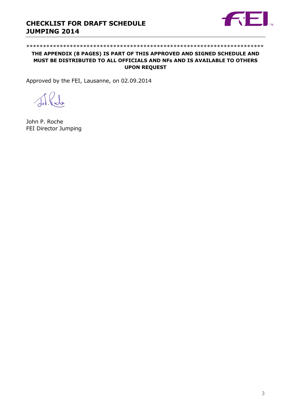

#### \*\*\*\*\*\*\*\*\*\*\*\*\*\*\*\*\*\*\*\*\*\*\*\*\*\*\*\*\*\*\*\*\*\*\*\*\*\*\*\*\*\*\*\*\*\*\*\*\*\*\*\*\*\*\*\*\*\*\*\*\*\*\*\*\*\*\*\*\*\*\*

#### **THE APPENDIX (8 PAGES) IS PART OF THIS APPROVED AND SIGNED SCHEDULE AND MUST BE DISTRIBUTED TO ALL OFFICIALS AND NFs AND IS AVAILABLE TO OTHERS UPON REQUEST**

Approved by the FEI, Lausanne, on 02.09.2014

J.R.J.

John P. Roche FEI Director Jumping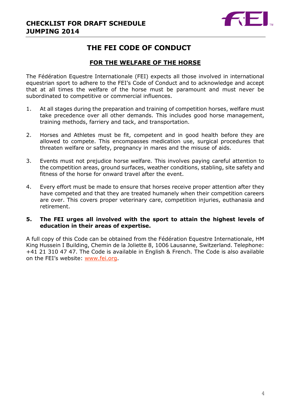

# **THE FEI CODE OF CONDUCT**

# **FOR THE WELFARE OF THE HORSE**

The Fédération Equestre Internationale (FEI) expects all those involved in international equestrian sport to adhere to the FEI's Code of Conduct and to acknowledge and accept that at all times the welfare of the horse must be paramount and must never be subordinated to competitive or commercial influences.

- 1. At all stages during the preparation and training of competition horses, welfare must take precedence over all other demands. This includes good horse management, training methods, farriery and tack, and transportation.
- 2. Horses and Athletes must be fit, competent and in good health before they are allowed to compete. This encompasses medication use, surgical procedures that threaten welfare or safety, pregnancy in mares and the misuse of aids.
- 3. Events must not prejudice horse welfare. This involves paying careful attention to the competition areas, ground surfaces, weather conditions, stabling, site safety and fitness of the horse for onward travel after the event.
- 4. Every effort must be made to ensure that horses receive proper attention after they have competed and that they are treated humanely when their competition careers are over. This covers proper veterinary care, competition injuries, euthanasia and retirement.

### **5. The FEI urges all involved with the sport to attain the highest levels of education in their areas of expertise.**

A full copy of this Code can be obtained from the Fédération Equestre Internationale, HM King Hussein I Building, Chemin de la Joliette 8, 1006 Lausanne, Switzerland. Telephone: +41 21 310 47 47. The Code is available in English & French. The Code is also available on the FEI's website: [www.fei.org.](http://www.fei.org/)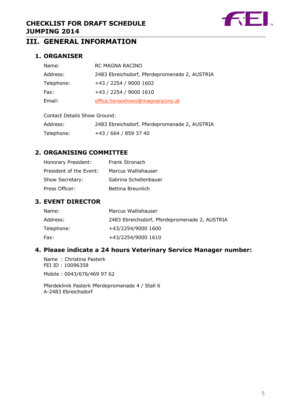

# **III. GENERAL INFORMATION**

# **1. ORGANISER**

| Name:      | RC MAGNA RACINO                               |
|------------|-----------------------------------------------|
| Address:   | 2483 Ebreichsdorf, Pferdepromenade 2, AUSTRIA |
| Telephone: | +43 / 2254 / 9000 1602                        |
| Fax:       | +43 / 2254 / 9000 1610                        |
| Email:     | office.horseshows@magnaracino.at              |
|            |                                               |

| <b>Contact Details Show Ground:</b> |  |
|-------------------------------------|--|
|-------------------------------------|--|

| Address:   | 2483 Ebreichsdorf, Pferdepromenade 2, AUSTRIA |
|------------|-----------------------------------------------|
| Telephone: | +43 / 664 / 859 37 40                         |

# **2. ORGANISING COMMITTEE**

| Honorary President:     | Frank Stronach        |
|-------------------------|-----------------------|
| President of the Event: | Marcus Wallishauser   |
| Show Secretary:         | Sabrina Schellenbauer |
| Press Officer:          | Bettina Breunlich     |

# **3. EVENT DIRECTOR**

| Name:      | Marcus Wallishauser                           |
|------------|-----------------------------------------------|
| Address:   | 2483 Ebreichsdorf, Pferdepromenade 2, AUSTRIA |
| Telephone: | +43/2254/9000 1600                            |
| Fax:       | +43/2254/9000 1610                            |

# **4. Please indicate a 24 hours Veterinary Service Manager number:**

Name : Christina Pasterk FEI ID : 10096358

Mobile : 0043/676/469 97 62

Pferdeklinik Pasterk Pferdepromenade 4 / Stall 6 A-2483 Ebreichsdorf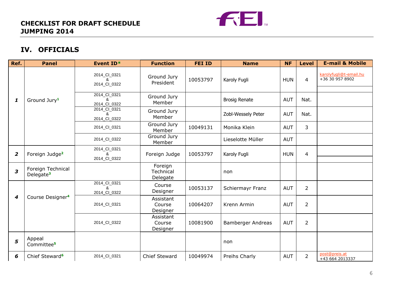

# **IV. OFFICIALS**

| Ref.                    | <b>Panel</b>                               | Event ID*                         | <b>Function</b>                  | <b>FEI ID</b> | <b>Name</b>          | <b>NF</b>  | <b>Level</b>   | <b>E-mail &amp; Mobile</b>                |
|-------------------------|--------------------------------------------|-----------------------------------|----------------------------------|---------------|----------------------|------------|----------------|-------------------------------------------|
|                         |                                            | 2014_CI_0321<br>&<br>2014_CI_0322 | Ground Jury<br>President         | 10053797      | Karoly Fugli         | <b>HUN</b> | $\overline{4}$ | karolyfugli@t-email.hu<br>+36 30 957 8902 |
| 1                       | Ground Jury <sup>1</sup>                   | 2014_CI_0321<br>&<br>2014_CI_0322 | Ground Jury<br>Member            |               | <b>Brosig Renate</b> | <b>AUT</b> | Nat.           |                                           |
|                         |                                            | 2014_CI_0321<br>ୡ<br>2014_CI_0322 | Ground Jury<br>Member            |               | Zobl-Wessely Peter   | <b>AUT</b> | Nat.           |                                           |
|                         |                                            | 2014_CI_0321                      | Ground Jury<br>Member            | 10049131      | Monika Klein         | <b>AUT</b> | 3              |                                           |
|                         |                                            | 2014_CI_0322                      | Ground Jury<br>Member            |               | Lieselotte Müller    | <b>AUT</b> |                |                                           |
| $\overline{\mathbf{2}}$ | Foreign Judge <sup>2</sup>                 | 2014_CI_0321<br>&<br>2014_CI_0322 | Foreign Judge                    | 10053797      | Karoly Fugli         | <b>HUN</b> | 4              |                                           |
| 3                       | Foreign Technical<br>Delegate <sup>3</sup> |                                   | Foreign<br>Technical<br>Delegate |               | non                  |            |                |                                           |
|                         |                                            | 2014_CI_0321<br>ጼ<br>2014_CI_0322 | Course<br>Designer               | 10053137      | Schiermayr Franz     | <b>AUT</b> | $\overline{2}$ |                                           |
| $\boldsymbol{4}$        | Course Designer <sup>4</sup>               | 2014_CI_0321                      | Assistant<br>Course<br>Designer  | 10064207      | Krenn Armin          | <b>AUT</b> | $\overline{2}$ |                                           |
|                         |                                            | 2014_CI_0322                      | Assistant<br>Course<br>Designer  | 10081900      | Bamberger Andreas    | <b>AUT</b> | $\overline{2}$ |                                           |
| 5                       | Appeal<br>Committee <sup>5</sup>           |                                   |                                  |               | non                  |            |                |                                           |
| 6                       | Chief Steward <sup>6</sup>                 | 2014_CI_0321                      | Chief Steward                    | 10049974      | Preihs Charly        | <b>AUT</b> | $\overline{2}$ | post@preis.at<br>+43 664 2013337          |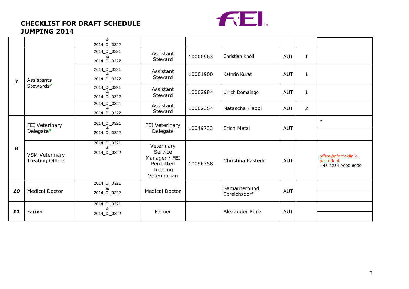

|                |                                                   | &<br>2014_CI_0322                 |                                                                                 |          |                               |            |                |                                                          |
|----------------|---------------------------------------------------|-----------------------------------|---------------------------------------------------------------------------------|----------|-------------------------------|------------|----------------|----------------------------------------------------------|
|                |                                                   | 2014_CI_0321<br>&<br>2014_CI_0322 | Assistant<br>Steward                                                            | 10000963 | Christian Knoll               | <b>AUT</b> | $\mathbf{1}$   |                                                          |
| $\overline{z}$ | Assistants                                        | 2014_CI_0321<br>&<br>2014_CI_0322 | Assistant<br>Steward                                                            | 10001900 | Kathrin Kurat                 | <b>AUT</b> | $\mathbf{1}$   |                                                          |
|                | Stewards <sup>7</sup>                             | 2014_CI_0321<br>&<br>2014_CI_0322 | Assistant<br>Steward                                                            | 10002984 | Ulrich Domaingo               | <b>AUT</b> | $\mathbf{1}$   |                                                          |
|                |                                                   | 2014_CI_0321<br>&<br>2014_CI_0322 | Assistant<br>Steward                                                            | 10002354 | Natascha Flaggl               | <b>AUT</b> | $\overline{2}$ |                                                          |
|                | FEI Veterinary<br>Delegate <sup>8</sup>           | 2014_CI_0321<br>FEI Veterinary    |                                                                                 |          |                               |            | $\ast$         |                                                          |
|                |                                                   | &<br>2014_CI_0322                 | Delegate                                                                        | 10049733 | <b>Erich Metzl</b>            | <b>AUT</b> |                |                                                          |
| 8              | <b>VSM Veterinary</b><br><b>Treating Official</b> | 2014_CI_0321<br>&<br>2014_CI_0322 | Veterinary<br>Service<br>Manager / FEI<br>Permitted<br>Treating<br>Veterinarian | 10096358 | Christina Pasterk             | <b>AUT</b> |                | office@pferdeklinik-<br>pasterk.at<br>+43 2254 9000 6000 |
| 10             | <b>Medical Doctor</b>                             | 2014_CI_0321<br>&<br>2014_CI_0322 | <b>Medical Doctor</b>                                                           |          | Samariterbund<br>Ebreichsdorf | <b>AUT</b> |                |                                                          |
|                |                                                   | 2014_CI_0321<br>&                 |                                                                                 |          |                               |            |                |                                                          |
| 11             | Farrier                                           | 2014_CI_0322                      | Farrier                                                                         |          | Alexander Prinz               | <b>AUT</b> |                |                                                          |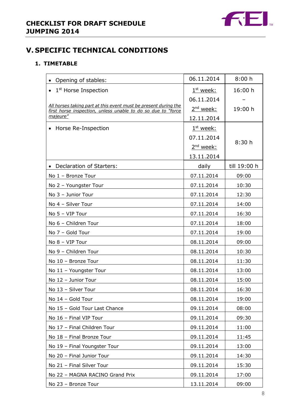

# **V. SPECIFIC TECHNICAL CONDITIONS**

# **1. TIMETABLE**

| Opening of stables:                                                                                                             | 06.11.2014            | 8:00h        |
|---------------------------------------------------------------------------------------------------------------------------------|-----------------------|--------------|
| $\bullet$ 1 <sup>st</sup> Horse Inspection                                                                                      | $1st$ week:           | 16:00 h      |
|                                                                                                                                 | 06.11.2014            |              |
| All horses taking part at this event must be present during the<br>first horse inspection, unless unable to do so due to "force | 2 <sup>nd</sup> week: | 19:00 h      |
| majeure"                                                                                                                        | 12.11.2014            |              |
| Horse Re-Inspection<br>$\bullet$                                                                                                | $1st$ week:           |              |
|                                                                                                                                 | 07.11.2014            |              |
|                                                                                                                                 | 2 <sup>nd</sup> week: | 8:30h        |
|                                                                                                                                 | 13.11.2014            |              |
| Declaration of Starters:<br>$\bullet$                                                                                           | daily                 | till 19:00 h |
| No 1 - Bronze Tour                                                                                                              | 07.11.2014            | 09:00        |
| No 2 - Youngster Tour                                                                                                           | 07.11.2014            | 10:30        |
| No 3 - Junior Tour                                                                                                              | 07.11.2014            | 12:30        |
| No 4 - Silver Tour                                                                                                              | 07.11.2014            | 14:00        |
| No 5 - VIP Tour                                                                                                                 | 07.11.2014            | 16:30        |
| No 6 - Children Tour                                                                                                            | 07.11.2014            | 18:00        |
| No 7 - Gold Tour                                                                                                                | 07.11.2014            | 19:00        |
| No 8 - VIP Tour                                                                                                                 | 08.11.2014            | 09:00        |
| No 9 - Children Tour                                                                                                            | 08.11.2014            | 10:30        |
| No 10 - Bronze Tour                                                                                                             | 08.11.2014            | 11:30        |
| No 11 - Youngster Tour                                                                                                          | 08.11.2014            | 13:00        |
| No 12 - Junior Tour                                                                                                             | 08.11.2014            | 15:00        |
| No 13 - Silver Tour                                                                                                             | 08.11.2014            | 16:30        |
| No 14 - Gold Tour                                                                                                               | 08.11.2014            | 19:00        |
| No 15 - Gold Tour Last Chance                                                                                                   | 09.11.2014            | 08:00        |
| No 16 - Final VIP Tour                                                                                                          | 09.11.2014            | 09:30        |
| No 17 - Final Children Tour                                                                                                     | 09.11.2014            | 11:00        |
| No 18 - Final Bronze Tour                                                                                                       | 09.11.2014            | 11:45        |
| No 19 - Final Youngster Tour                                                                                                    | 09.11.2014            | 13:00        |
| No 20 - Final Junior Tour                                                                                                       | 09.11.2014            | 14:30        |
| No 21 - Final Silver Tour                                                                                                       | 09.11.2014            | 15:30        |
| No 22 - MAGNA RACINO Grand Prix                                                                                                 | 09.11.2014            | 17:00        |
| No 23 - Bronze Tour                                                                                                             | 13.11.2014            | 09:00        |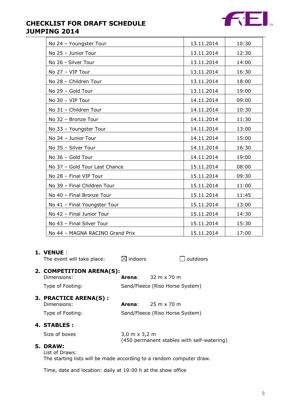

| No 24 - Youngster Tour          | 13.11.2014 | 10:30 |
|---------------------------------|------------|-------|
| No 25 - Junior Tour             | 13.11.2014 | 12:30 |
| No 26 - Silver Tour             | 13.11.2014 | 14:00 |
| No 27 - VIP Tour                | 13.11.2014 | 16:30 |
| No 28 - Children Tour           | 13.11.2014 | 18:00 |
| No 29 - Gold Tour               | 13.11.2014 | 19:00 |
| No 30 - VIP Tour                | 14.11.2014 | 09:00 |
| No 31 - Children Tour           | 14.11.2014 | 10:30 |
| No 32 - Bronze Tour             | 14.11.2014 | 11:30 |
| No 33 - Youngster Tour          | 14.11.2014 | 13:00 |
| No 34 - Junior Tour             | 14.11.2014 | 15:00 |
| No 35 - Silver Tour             | 14.11.2014 | 16:30 |
| No 36 - Gold Tour               | 14.11.2014 | 19:00 |
| No 37 - Gold Tour Last Chance   | 15.11.2014 | 08:00 |
| No 28 - Final VIP Tour          | 15.11.2014 | 09:30 |
| No 39 - Final Children Tour     | 15.11.2014 | 11:00 |
| No 40 - Final Bronze Tour       | 15.11.2014 | 11:45 |
| No 41 - Final Youngster Tour    | 15.11.2014 | 13:00 |
| No 42 - Final Junior Tour       | 15.11.2014 | 14:30 |
| No 43 - Final Silver Tour       | 15.11.2014 | 15:30 |
| No 44 - MAGNA RACINO Grand Prix | 15.11.2014 | 17:00 |

#### **1. VENUE** :

| The event will take place:              | $\boxtimes$ indoors                  | outdoors                                   |
|-----------------------------------------|--------------------------------------|--------------------------------------------|
| 2. COMPETITION ARENA(S):<br>Dimensions: | Arena:                               | $32 \text{ m} \times 70 \text{ m}$         |
| Type of Footing:                        |                                      | Sand/Fleece (Riso Horse System)            |
| 3. PRACTICE ARENA(S) :<br>Dimensions:   | Arena:                               | 25 m x 70 m                                |
| Type of Footing:                        |                                      | Sand/Fleece (Riso Horse System)            |
| 4. STABLES :                            |                                      |                                            |
| Size of boxes                           | $3,0 \text{ m} \times 3,2 \text{ m}$ | (450 permanent stables with self-watering) |
| 5. DRAW:<br>List of Draws:              |                                      |                                            |

The starting lists will be made according to a random computer draw.

Time, date and location: daily at 19:00 h at the show office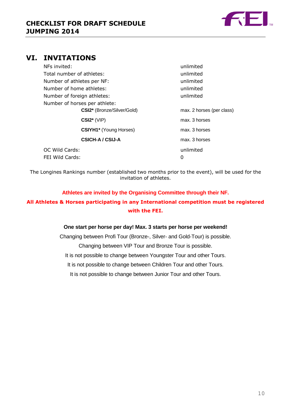

# **VI. INVITATIONS**

| NFs invited:                  | unlimited                 |
|-------------------------------|---------------------------|
| Total number of athletes:     | unlimited                 |
| Number of athletes per NF:    | unlimited                 |
| Number of home athletes:      | unlimited                 |
| Number of foreign athletes:   | unlimited                 |
| Number of horses per athlete: |                           |
| CSI2* (Bronze/Silver/Gold)    | max. 2 horses (per class) |
| $CSI2*$ (VIP)                 | max. 3 horses             |
| <b>CSIYH1*</b> (Young Horses) | max. 3 horses             |
| CSICH-A / CSIJ-A              | max. 3 horses             |
| OC Wild Cards:                | unlimited                 |
| FEI Wild Cards:               | 0                         |

The Longines Rankings number (established two months prior to the event), will be used for the invitation of athletes.

# **Athletes are invited by the Organising Committee through their NF. All Athletes & Horses participating in any International competition must be registered with the FEI.**

#### **One start per horse per day! Max. 3 starts per horse per weekend!**

Changing between Profi Tour (Bronze-, Silver- and Gold-Tour) is possible. Changing between VIP Tour and Bronze Tour is possible. It is not possible to change between Youngster Tour and other Tours. It is not possible to change between Children Tour and other Tours. It is not possible to change between Junior Tour and other Tours.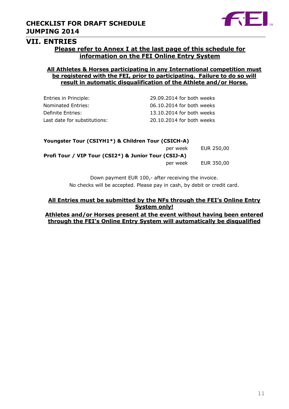

#### **VII. ENTRIES**

### **Please refer to Annex I at the last page of this schedule for information on the FEI Online Entry System**

### **All Athletes & Horses participating in any International competition must be registered with the FEI, prior to participating. Failure to do so will result in automatic disqualification of the Athlete and/or Horse.**

| Entries in Principle:        | 29.09.2014 for both weeks |
|------------------------------|---------------------------|
| Nominated Entries:           | 06.10.2014 for both weeks |
| Definite Entries:            | 13.10.2014 for both weeks |
| Last date for substitutions: | 20.10.2014 for both weeks |

| Youngster Tour (CSIYH1*) & Children Tour (CSICH-A)   |          |            |
|------------------------------------------------------|----------|------------|
|                                                      | per week | EUR 250,00 |
| Profi Tour / VIP Tour (CSI2*) & Junior Tour (CSIJ-A) |          |            |
|                                                      | per week | EUR 350,00 |

Down payment EUR 100,- after receiving the invoice. No checks will be accepted. Please pay in cash, by debit or credit card.

#### **All Entries must be submitted by the NFs through the FEI's Online Entry System only!**

**Athletes and/or Horses present at the event without having been entered through the FEI's Online Entry System will automatically be disqualified**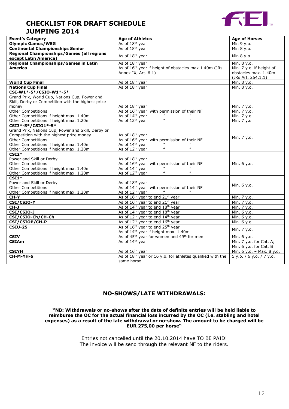

| <b>Event's Category</b>                            | <b>Age of Athletes</b>                                                  | <b>Age of Horses</b>      |
|----------------------------------------------------|-------------------------------------------------------------------------|---------------------------|
| <b>Olympic Games/WEG</b>                           | As of 18 <sup>th</sup> year                                             | Min 9 y.o.                |
| <b>Continental Championships Senior</b>            | As of 18 <sup>th</sup> year                                             | Min 8 y.o.                |
| Regional Championships/Games (all regions          |                                                                         |                           |
| except Latin America)                              | As of 18 <sup>th</sup> year                                             | Min 8 y.o.                |
| <b>Regional Championships/Games in Latin</b>       | As of 18 <sup>th</sup> year                                             | Min. 8 y.o.               |
| <b>America</b>                                     | As of 16 <sup>th</sup> year if height of obstacles max.1.40m (JRs       | Min. 7 y.o. if height of  |
|                                                    | Annex IX, Art. 6.1)                                                     | obstacles max. 1.40m      |
|                                                    |                                                                         | (JRs Art. 254.1.1)        |
| <b>World Cup Final</b>                             | As of 18 <sup>th</sup> year                                             | Min. 8 y.o.               |
| <b>Nations Cup Final</b>                           | As of 18 <sup>th</sup> year                                             | Min. 8 y.o.               |
| CSI-W1*-5*/CSIO-W1*-5*                             |                                                                         |                           |
| Grand Prix, World Cup, Nations Cup, Power and      |                                                                         |                           |
| Skill, Derby or Competition with the highest prize |                                                                         |                           |
|                                                    | As of 18 <sup>th</sup> year                                             |                           |
| money<br>Other Competitions                        | As of 16 <sup>th</sup> year with permission of their NF                 | Min. 7 y.o.               |
|                                                    | As of 14 <sup>th</sup> year                                             | Min. 7 y.o.               |
| Other Competitions if height max. 1.40m            | $\boldsymbol{u}$<br>$\boldsymbol{\mu}$                                  | Min. 7 y.o                |
| Other Competitions if height max. 1.20m            | As of 12 <sup>th</sup> year                                             | Min. 7 y.o                |
| CSI3*-5*/CSI01*-5*                                 |                                                                         |                           |
| Grand Prix, Nations Cup, Power and Skill, Derby or |                                                                         |                           |
| Competition with the highest prize money           | As of 18 <sup>th</sup> year                                             | Min. 7 y.o.               |
| <b>Other Competitions</b>                          | As of 16 <sup>th</sup> year with permission of their NF                 |                           |
| Other Competitions if height max. 1.40m            | As of 14 <sup>th</sup> year<br>$\boldsymbol{\mu}$                       |                           |
| Other Competitions if height max. 1.20m            | As of 12 <sup>th</sup> year                                             |                           |
| $CSI2*$                                            |                                                                         |                           |
| Power and Skill or Derby                           | As of 18 <sup>th</sup> year                                             |                           |
| <b>Other Competitions</b>                          | As of 16 <sup>th</sup> year with permission of their NF                 | Min. 6 y.o.               |
| Other Competitions if height max. 1.40m            | As of 14 <sup>th</sup> year                                             |                           |
| Other Competitions if height max. 1.20m            | $\boldsymbol{\mu}$<br>$\boldsymbol{\mu}$<br>As of 12 <sup>th</sup> year |                           |
| $\overline{\text{CSI1*}}$                          |                                                                         |                           |
| Power and Skill or Derby                           | As of 18 <sup>th</sup> year                                             | Min. 6 y.o.               |
| <b>Other Competitions</b>                          | As of 14 <sup>th</sup> year with permission of their NF                 |                           |
| Other Competitions if height max. 1.20m            | As of 12 <sup>th</sup> year                                             |                           |
| CH-Y                                               | As of 16 <sup>th</sup> year to end 21 <sup>st</sup> year                | Min. 7 y.o.               |
| CSI/CSIO-Y                                         | As of 16 <sup>th</sup> year to end 21st year                            | Min. 7 y.o.               |
| CH-J                                               | As of 14 <sup>th</sup> year to end 18 <sup>th</sup> year                | Min. 7 y.o.               |
| CSI/CSIO-J                                         | As of 14 <sup>th</sup> year to end 18 <sup>th</sup> year                | Min. 6 y.o.               |
| CSI/CSIO-Ch/CH-Ch                                  | As of 12 <sup>th</sup> year to end 14 <sup>th</sup> year                | Min. 6 y.o.               |
| CSI/CSIOP/CH-P                                     | As of 12 <sup>th</sup> year to end 16 <sup>th</sup> year                | Min. 6 y.o.               |
| <b>CSIU-25</b>                                     | As of 16 <sup>th</sup> year to end 25 <sup>th</sup> year                |                           |
|                                                    | As of 14 <sup>th</sup> year if height max. 1.40m                        | Min. 7 y.o.               |
| <b>CSIV</b>                                        | As of 45 <sup>th</sup> year for women and 49 <sup>th</sup> for men      | Min. 6 y.o.               |
| <b>CSIAm</b>                                       | As of 14 <sup>th</sup> year                                             | Min. 7 y.o. for Cat. A;   |
|                                                    |                                                                         | Min. 6 y.o. for Cat. B    |
| <b>CSIYH</b>                                       | As of 16 <sup>th</sup> year                                             | Min. 6 y.o. - Max. 8 y.o. |
| CH-M-YH-S                                          | As of 18 <sup>th</sup> year or 16 y.o. for athletes qualified with the  | 5 y.o. / 6 y.o. / 7 y.o.  |
|                                                    | same horse                                                              |                           |
|                                                    |                                                                         |                           |

### **NO-SHOWS/LATE WITHDRAWALS:**

#### **"NB: Withdrawals or no-shows after the date of definite entries will be held liable to reimburse the OC for the actual financial loss incurred by the OC (i.e. stabling and hotel expenses) as a result of the late withdrawal or no-show. The amount to be charged will be EUR 275,00 per horse"**

Entries not cancelled until the 20.10.2014 have TO BE PAID! The invoice will be send through the relevant NF to the riders.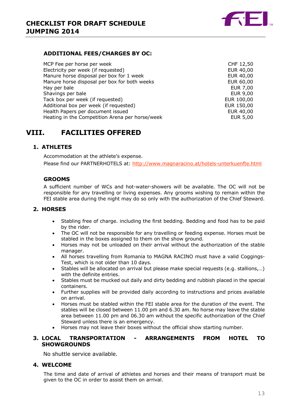

#### **ADDITIONAL FEES/CHARGES BY OC:**

| MCP Fee per horse per week                      | CHF 12,50       |
|-------------------------------------------------|-----------------|
| Electricity per week (if requested)             | EUR 40,00       |
| Manure horse disposal per box for 1 week        | EUR 40,00       |
| Manure horse disposal per box for both weeks    | EUR 60,00       |
| Hay per bale                                    | <b>EUR 7,00</b> |
| Shavings per bale                               | EUR 9,00        |
| Tack box per week (if requested)                | EUR 100,00      |
| Additional box per week (if requested)          | EUR 150,00      |
| Health Papers per document issued               | EUR 40,00       |
| Heating in the Competition Arena per horse/week | <b>EUR 5,00</b> |

# **VIII. FACILITIES OFFERED**

#### **1. ATHLETES**

Accommodation at the athlete's expense. Please find our PARTNERHOTELS at: <http://www.magnaracino.at/hotels-unterkuenfte.html>

#### **GROOMS**

A sufficient number of WCs and hot-water-showers will be available. The OC will not be responsible for any travelling or living expenses. Any grooms wishing to remain within the FEI stable area during the night may do so only with the authorization of the Chief Steward.

#### **2. HORSES**

- Stabling free of charge. including the first bedding. Bedding and food has to be paid by the rider.
- The OC will not be responsible for any travelling or feeding expense. Horses must be stabled in the boxes assigned to them on the show ground.
- Horses may not be unloaded on their arrival without the authorization of the stable manager.
- All horses travelling from Romania to MAGNA RACINO must have a valid Coggings-Test, which is not older than 10 days.
- Stables will be allocated on arrival but please make special requests (e.g. stallions,…) with the definite entries.
- Stables must be mucked out daily and dirty bedding and rubbish placed in the special containers.
- Further supplies will be provided daily according to instructions and prices available on arrival.
- Horses must be stabled within the FEI stable area for the duration of the event. The stables will be closed between 11.00 pm and 6.30 am. No horse may leave the stable area between 11.00 pm and 06.30 am without the specific authorization of the Chief Steward unless there is an emergency.
- Horses may not leave their boxes without the official show starting number.

#### **3. LOCAL TRANSPORTATION - ARRANGEMENTS FROM HOTEL TO SHOWGROUNDS**

No shuttle service available.

#### **4. WELCOME**

The time and date of arrival of athletes and horses and their means of transport must be given to the OC in order to assist them on arrival.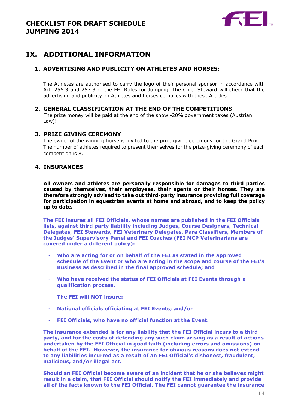

# **IX. ADDITIONAL INFORMATION**

### **1. ADVERTISING AND PUBLICITY ON ATHLETES AND HORSES:**

The Athletes are authorised to carry the logo of their personal sponsor in accordance with Art. 256.3 and 257.3 of the FEI Rules for Jumping. The Chief Steward will check that the advertising and publicity on Athletes and horses complies with these Articles.

#### **2. GENERAL CLASSIFICATION AT THE END OF THE COMPETITIONS**

The prize money will be paid at the end of the show -20% government taxes (Austrian Law)!

#### **3. PRIZE GIVING CEREMONY**

The owner of the winning horse is invited to the prize giving ceremony for the Grand Prix. The number of athletes required to present themselves for the prize-giving ceremony of each competition is 8.

### **4. INSURANCES**

**All owners and athletes are personally responsible for damages to third parties caused by themselves, their employees, their agents or their horses. They are therefore strongly advised to take out third-party insurance providing full coverage for participation in equestrian events at home and abroad, and to keep the policy up to date.**

**The FEI insures all FEI Officials, whose names are published in the FEI Officials lists, against third party liability including Judges, Course Designers, Technical Delegates, FEI Stewards, FEI Veterinary Delegates, Para Classifiers, Members of the Judges' Supervisory Panel and FEI Coaches (FEI MCP Veterinarians are covered under a different policy):**

- **Who are acting for or on behalf of the FEI as stated in the approved schedule of the Event or who are acting in the scope and course of the FEI's Business as described in the final approved schedule; and**
- **Who have received the status of FEI Officials at FEI Events through a qualification process.**
	- **The FEI will NOT insure:**
- **National officials officiating at FEI Events; and/or**
- **FEI Officials, who have no official function at the Event.**

**The insurance extended is for any liability that the FEI Official incurs to a third party, and for the costs of defending any such claim arising as a result of actions undertaken by the FEI Official in good faith (including errors and omissions) on behalf of the FEI. However, the insurance for obvious reasons does not extend to any liabilities incurred as a result of an FEI Official's dishonest, fraudulent, malicious, and/or illegal act.**

**Should an FEI Official become aware of an incident that he or she believes might result in a claim, that FEI Official should notify the FEI immediately and provide all of the facts known to the FEI Official. The FEI cannot guarantee the insurance**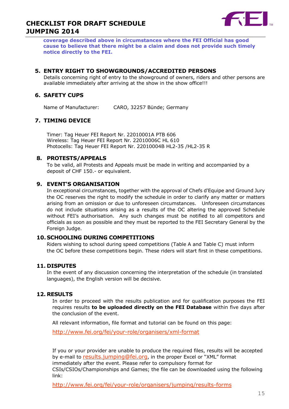

**coverage described above in circumstances where the FEI Official has good cause to believe that there might be a claim and does not provide such timely notice directly to the FEI.**

#### **5. ENTRY RIGHT TO SHOWGROUNDS/ACCREDITED PERSONS**

Details concerning right of entry to the showground of owners, riders and other persons are available immediately after arriving at the show in the show office!!!

### **6. SAFETY CUPS**

Name of Manufacturer: CARO, 32257 Bünde; Germany

#### **7. TIMING DEVICE**

Timer: Tag Heuer FEI Report Nr. 22010001A PTB 606 Wireless: Tag Heuer FEI Report Nr. 22010006C HL 610 Photocells: Tag Heuer FEI Report Nr. 22010004B HL2-35 /HL2-35 R

#### **8. PROTESTS/APPEALS**

To be valid, all Protests and Appeals must be made in writing and accompanied by a deposit of CHF 150.- or equivalent.

#### **9. EVENT'S ORGANISATION**

In exceptional circumstances, together with the approval of Chefs d'Equipe and Ground Jury the OC reserves the right to modify the schedule in order to clarify any matter or matters arising from an omission or due to unforeseen circumstances. Unforeseen circumstances do not include situations arising as a results of the OC altering the approved Schedule without FEI's authorisation. Any such changes must be notified to all competitors and officials as soon as possible and they must be reported to the FEI Secretary General by the Foreign Judge.

#### **10. SCHOOLING DURING COMPETITIONS**

Riders wishing to school during speed competitions (Table A and Table C) must inform the OC before these competitions begin. These riders will start first in these competitions.

### **11. DISPUTES**

In the event of any discussion concerning the interpretation of the schedule (in translated languages), the English version will be decisive.

#### **12. RESULTS**

In order to proceed with the results publication and for qualification purposes the FEI requires results **to be uploaded directly on the FEI Database** within five days after the conclusion of the event.

All relevant information, file format and tutorial can be found on this page:

<http://www.fei.org/fei/your-role/organisers/xml-format>

If you or your provider are unable to produce the required files, results will be accepted by e-mail to [results.jumping@fei.org](mailto:results.jumping@fei.org), in the proper Excel or "XML" format immediately after the event. Please refer to compulsory format for CSIs/CSIOs/Championships and Games; the file can be downloaded using the following link:

<http://www.fei.org/fei/your-role/organisers/jumping/results-forms>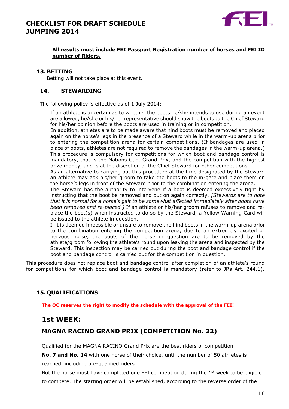

#### **All results must include FEI Passport Registration number of horses and FEI ID number of Riders.**

#### **13. BETTING**

Betting will not take place at this event.

#### **14. STEWARDING**

The following policy is effective as of 1 July 2014:

- If an athlete is uncertain as to whether the boots he/she intends to use during an event are allowed, he/she or his/her representative should show the boots to the Chief Steward for his/her opinion before the boots are used in training or in competition.
- · In addition, athletes are to be made aware that hind boots must be removed and placed again on the horse's legs in the presence of a Steward while in the warm-up arena prior to entering the competition arena for certain competitions. (If bandages are used in place of boots, athletes are not required to remove the bandages in the warm-up arena.) This procedure is compulsory for competitions for which boot and bandage control is mandatory, that is the Nations Cup, Grand Prix, and the competition with the highest prize money, and is at the discretion of the Chief Steward for other competitions.
- As an alternative to carrying out this procedure at the time designated by the Steward an athlete may ask his/her groom to take the boots to the in-gate and place them on the horse's legs in front of the Steward prior to the combination entering the arena.
- The Steward has the authority to intervene if a boot is deemed excessively tight by instructing that the boot be removed and put on again correctly. *[Stewards are to note that it is normal for a horse's gait to be somewhat affected immediately after boots have been removed and re-placed.]* If an athlete or his/her groom refuses to remove and replace the boot(s) when instructed to do so by the Steward, a Yellow Warning Card will be issued to the athlete in question.
- If it is deemed impossible or unsafe to remove the hind boots in the warm-up arena prior to the combination entering the competition arena, due to an extremely excited or nervous horse, the boots of the horse in question are to be removed by the athlete/groom following the athlete's round upon leaving the arena and inspected by the Steward. This inspection may be carried out during the boot and bandage control if the boot and bandage control is carried out for the competition in question.

This procedure does not replace boot and bandage control after completion of an athlete's round for competitions for which boot and bandage control is mandatory (refer to JRs Art. 244.1).

### **15. QUALIFICATIONS**

**The OC reserves the right to modify the schedule with the approval of the FEI!**

# **1st WEEK:**

# **MAGNA RACINO GRAND PRIX (COMPETITION No. 22)**

Qualified for the MAGNA RACINO Grand Prix are the best riders of competition

**No. 7 and No. 14** with one horse of their choice, until the number of 50 athletes is reached, including pre-qualified riders.

But the horse must have completed one FEI competition during the  $1<sup>st</sup>$  week to be eligible to compete. The starting order will be established, according to the reverse order of the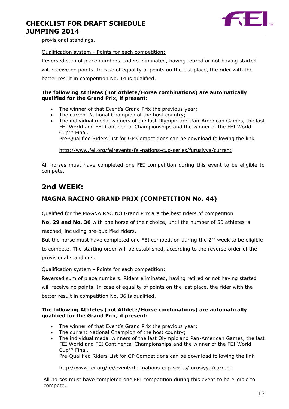

provisional standings.

Qualification system - Points for each competition:

Reversed sum of place numbers. Riders eliminated, having retired or not having started will receive no points. In case of equality of points on the last place, the rider with the better result in competition No. 14 is qualified.

#### **The following Athletes (not Athlete/Horse combinations) are automatically qualified for the Grand Prix, if present:**

- The winner of that Event's Grand Prix the previous year;
- The current National Champion of the host country;
- The individual medal winners of the last Olympic and Pan-American Games, the last FEI World and FEI Continental Championships and the winner of the FEI World Cup™ Final.

Pre-Qualified Riders List for GP Competitions can be download following the link

<http://www.fei.org/fei/events/fei-nations-cup-series/furusiyya/current>

All horses must have completed one FEI competition during this event to be eligible to compete.

# **2nd WEEK:**

# **MAGNA RACINO GRAND PRIX (COMPETITION No. 44)**

Qualified for the MAGNA RACINO Grand Prix are the best riders of competition

**No. 29 and No. 36** with one horse of their choice, until the number of 50 athletes is reached, including pre-qualified riders.

But the horse must have completed one FEI competition during the  $2<sup>nd</sup>$  week to be eligible to compete. The starting order will be established, according to the reverse order of the provisional standings.

Qualification system - Points for each competition:

Reversed sum of place numbers. Riders eliminated, having retired or not having started will receive no points. In case of equality of points on the last place, the rider with the better result in competition No. 36 is qualified.

#### **The following Athletes (not Athlete/Horse combinations) are automatically qualified for the Grand Prix, if present:**

- The winner of that Event's Grand Prix the previous year;
- The current National Champion of the host country;
- The individual medal winners of the last Olympic and Pan-American Games, the last FEI World and FEI Continental Championships and the winner of the FEI World Cup™ Final.

Pre-Qualified Riders List for GP Competitions can be download following the link

<http://www.fei.org/fei/events/fei-nations-cup-series/furusiyya/current>

All horses must have completed one FEI competition during this event to be eligible to compete.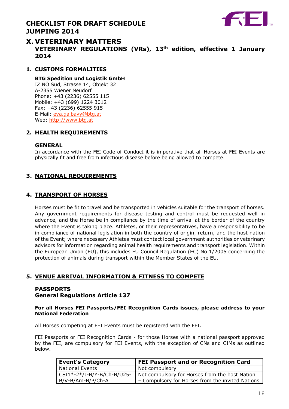

# **X. VETERINARY MATTERS VETERINARY REGULATIONS (VRs), 13th edition, effective 1 January 2014**

### **1. CUSTOMS FORMALITIES**

#### **BTG Spedition und Logistik GmbH**

IZ NÖ Süd, Strasse 14, Objekt 32 A-2355 Wiener Neudorf Phone: +43 (2236) 62555 115 Mobile: +43 (699) 1224 3012 Fax: +43 (2236) 62555 915 E-Mail: [eva.galbavy@btg.at](mailto:eva.galbavy@btg.at) Web: [http://www.btg.at](http://www.btg.at/)

#### **2. HEALTH REQUIREMENTS**

#### **GENERAL**

In accordance with the FEI Code of Conduct it is imperative that all Horses at FEI Events are physically fit and free from infectious disease before being allowed to compete.

### **3. NATIONAL REQUIREMENTS**

#### **4. TRANSPORT OF HORSES**

Horses must be fit to travel and be transported in vehicles suitable for the transport of horses. Any government requirements for disease testing and control must be requested well in advance, and the Horse be in compliance by the time of arrival at the border of the country where the Event is taking place. Athletes, or their representatives, have a responsibility to be in compliance of national legislation in both the country of origin, return, and the host nation of the Event; where necessary Athletes must contact local government authorities or veterinary advisors for information regarding animal health requirements and transport legislation. Within the European Union (EU), this includes EU Council Regulation (EC) No 1/2005 concerning the protection of animals during transport within the Member States of the EU.

### **5. VENUE ARRIVAL INFORMATION & FITNESS TO COMPETE**

# **PASSPORTS**

#### **General Regulations Article 137**

#### **For all Horses FEI Passports/FEI Recognition Cards issues, please address to your National Federation**

All Horses competing at FEI Events must be registered with the FEI.

FEI Passports or FEI Recognition Cards - for those Horses with a national passport approved by the FEI, are compulsory for FEI Events, with the exception of CNs and CIMs as outlined below.

| <b>Event's Category</b>    | <b>FEI Passport and or Recognition Card</b>      |
|----------------------------|--------------------------------------------------|
| <b>National Events</b>     | Not compulsory                                   |
| CSI1*-2*/J-B/Y-B/Ch-B/U25- | Not compulsory for Horses from the host Nation   |
| B/V-B/Am-B/P/Ch-A          | - Compulsory for Horses from the invited Nations |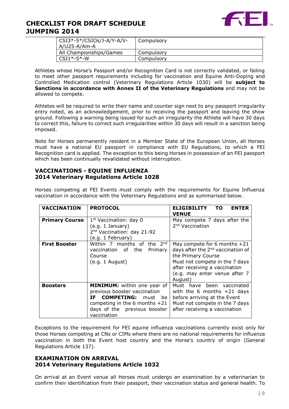

| $\vert$ CSI3*-5*/CSIOs/J-A/Y-A/V- | Compulsory |
|-----------------------------------|------------|
| A/U25-A/Am-A                      |            |
| All Championships/Games           | Compulsory |
| $CSI1*-5*-W$                      | Compulsory |

Athletes whose Horse's Passport and/or Recognition Card is not correctly validated, or failing to meet other passport requirements including for vaccination and Equine Anti-Doping and Controlled Medication control (Veterinary Regulations Article 1030) will be **subject to Sanctions in accordance with Annex II of the Veterinary Regulations** and may not be allowed to compete.

Athletes will be required to write their name and counter sign next to any passport irregularity entry noted, as an acknowledgement, prior to receiving the passport and leaving the show ground. Following a warning being issued for such an irregularity the Athlete will have 30 days to correct this, failure to correct such irregularities within 30 days will result in a sanction being imposed.

Note for Horses permanently resident in a Member State of the European Union, all Horses must have a national EU passport in compliance with EU Regulations, to which a FEI Recognition card is applied. The exception to this being Horses in possession of an FEI passport which has been continually revalidated without interruption.

### **VACCINATIONS - EQUINE INFLUENZA 2014 Veterinary Regulations Article 1028**

Horses competing at FEI Events must comply with the requirements for Equine Influenza vaccination in accordance with the Veterinary Regulations and as summarised below.

| <b>VACCINATION</b>    | <b>PROTOCOL</b>                                                                                                                                                                                 | <b>ELIGIBILITY</b><br>TO.<br><b>ENTER</b><br><b>VENUE</b>                                                                                                                                                            |
|-----------------------|-------------------------------------------------------------------------------------------------------------------------------------------------------------------------------------------------|----------------------------------------------------------------------------------------------------------------------------------------------------------------------------------------------------------------------|
| <b>Primary Course</b> | 1 <sup>st</sup> Vaccination: day 0<br>(e.g. 1 January)<br>2 <sup>nd</sup> Vaccination: day 21-92<br>(e.g. 1 February)                                                                           | May compete 7 days after the<br>2 <sup>nd</sup> Vaccination                                                                                                                                                          |
| <b>First Booster</b>  | Within 7 months of the $2^{nd}$<br>vaccination of the<br>Primary<br>Course<br>(e.g. 1 August)                                                                                                   | May compete for 6 months $+21$<br>days after the 2 <sup>nd</sup> vaccination of<br>the Primary Course<br>Must not compete in the 7 days<br>after receiving a vaccination<br>(e.g. may enter venue after 7<br>August) |
| <b>Boosters</b>       | <b>MINIMUM:</b> within one year of<br>previous booster vaccination<br><b>COMPETING:</b><br>TF.<br>must<br>he.<br>competing in the 6 months $+21$<br>days of the previous booster<br>vaccination | Must have been vaccinated<br>with the 6 months $+21$ days<br>before arriving at the Event<br>Must not compete in the 7 days<br>after receiving a vaccination                                                         |

Exceptions to the requirement for FEI equine influenza vaccinations currently exist only for those Horses competing at CNs or CIMs where there are no national requirements for influenza vaccination in both the Event host country and the Horse's country of origin (General Regulations Article 137).

#### **EXAMINATION ON ARRIVAL 2014 Veterinary Regulations Article 1032**

On arrival at an Event venue all Horses must undergo an examination by a veterinarian to confirm their identification from their passport, their vaccination status and general health. To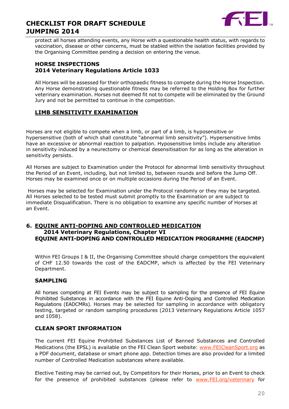

protect all horses attending events, any Horse with a questionable health status, with regards to vaccination, disease or other concerns, must be stabled within the isolation facilities provided by the Organising Committee pending a decision on entering the venue.

#### **HORSE INSPECTIONS 2014 Veterinary Regulations Article 1033**

All Horses will be assessed for their orthopaedic fitness to compete during the Horse Inspection. Any Horse demonstrating questionable fitness may be referred to the Holding Box for further veterinary examination. Horses not deemed fit not to compete will be eliminated by the Ground Jury and not be permitted to continue in the competition.

# **LIMB SENSITIVITY EXAMINATION**

Horses are not eligible to compete when a limb, or part of a limb, is hyposensitive or hypersensitive (both of which shall constitute "abnormal limb sensitivity"). Hypersensitive limbs have an excessive or abnormal reaction to palpation. Hyposensitive limbs include any alteration in sensitivity induced by a neurectomy or chemical desensitisation for as long as the alteration in sensitivity persists.

All Horses are subject to Examination under the Protocol for abnormal limb sensitivity throughout the Period of an Event, including, but not limited to, between rounds and before the Jump Off. Horses may be examined once or on multiple occasions during the Period of an Event.

Horses may be selected for Examination under the Protocol randomly or they may be targeted. All Horses selected to be tested must submit promptly to the Examination or are subject to immediate Disqualification. There is no obligation to examine any specific number of Horses at an Event.

### **6. EQUINE ANTI-DOPING AND CONTROLLED MEDICATION 2014 Veterinary Regulations, Chapter VI EQUINE ANTI-DOPING AND CONTROLLED MEDICATION PROGRAMME (EADCMP)**

Within FEI Groups I & II, the Organising Committee should charge competitors the equivalent of CHF 12.50 towards the cost of the EADCMP, which is affected by the FEI Veterinary Department.

### **SAMPLING**

All horses competing at FEI Events may be subject to sampling for the presence of FEI Equine Prohibited Substances in accordance with the FEI Equine Anti-Doping and Controlled Medication Regulations (EADCMRs). Horses may be selected for sampling in accordance with obligatory testing, targeted or random sampling procedures (2013 Veterinary Regulations Article 1057 and 1058).

### **CLEAN SPORT INFORMATION**

The current FEI Equine Prohibited Substances List of Banned Substances and Controlled Medications (the EPSL) is available on the FEI Clean Sport website: [www.FEICleanSport.org](http://www.feicleansport.org/) as a PDF document, database or smart phone app. Detection times are also provided for a limited number of Controlled Medication substances where available.

Elective Testing may be carried out, by Competitors for their Horses, prior to an Event to check for the presence of prohibited substances (please refer to [www.FEI.org/veterinary](http://www.fei.org/veterinary) for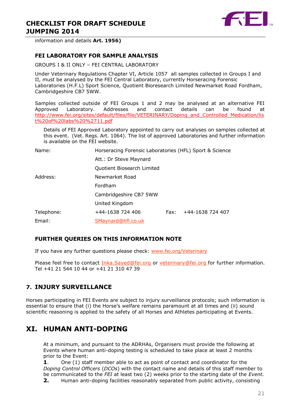

information and details **Art. 1956)**

#### **FEI LABORATORY FOR SAMPLE ANALYSIS**

GROUPS I & II ONLY – FEI CENTRAL LABORATORY

Under Veterinary Regulations Chapter VI, Article 1057 all samples collected in Groups I and II, must be analysed by the FEI Central Laboratory, currently Horseracing Forensic Laboratories (H.F.L) Sport Science, Quotient Bioresearch Limited Newmarket Road Fordham, Cambridgeshire CB7 5WW.

Samples collected outside of FEI Groups 1 and 2 may be analysed at an alternative FEI Approved Laboratory. Addresses and contact details can be found at [http://www.fei.org/sites/default/files/file/VETERINARY/Doping\\_and\\_Controlled\\_Medication/lis](http://www.fei.org/sites/default/files/file/VETERINARY/Doping_and_Controlled_Medication/list%20of%20labs%20%2711.pdf) [t%20of%20labs%20%2711.pdf](http://www.fei.org/sites/default/files/file/VETERINARY/Doping_and_Controlled_Medication/list%20of%20labs%20%2711.pdf)

Details of FEI Approved Laboratory appointed to carry out analyses on samples collected at this event. (Vet. Regs. Art. 1064). The list of approved Laboratories and further information is available on the FEI website.

Name: Horseracing Forensic Laboratories (HFL) Sport & Science

Att.: Dr Steve Maynard Quotient Biosearch Limited

Address: Newmarket Road

Fordham

Cambridgeshire CB7 5WW

United Kingdom

Telephone: +44-1638 724 406 Fax: +44-1638 724 407

Email: [SMaynard@hfl.co.uk](mailto:SMaynard@hfl.co.uk)

### **FURTHER QUERIES ON THIS INFORMATION NOTE**

If you have any further questions please check: [www.fei.org/Veterinary](file:///C:/Users/mzo/AppData/Local/Microsoft/VEU/AppData/Local/Microsoft/Windows/Temporary%20Internet%20Files/Content.Outlook/1W63BF58/www.fei.org/Veterinary)

Please feel free to contact *[Inka.Sayed@fei.org](mailto:Inka.Sayed@fei.org)* or veterinary@fei.org for further information. Tel +41 21 544 10 44 or +41 21 310 47 39

# **7. INJURY SURVEILLANCE**

Horses participating in FEI Events are subject to injury surveillance protocols; such information is essential to ensure that (i) the Horse's welfare remains paramount at all times and (ii) sound scientific reasoning is applied to the safety of all Horses and Athletes participating at Events.

# **XI. HUMAN ANTI-DOPING**

At a minimum, and pursuant to the ADRHAs, Organisers must provide the following at Events where human anti-doping testing is scheduled to take place at least 2 months prior to the Event:

**1**. One (1) staff member able to act as point of contact and coordinator for the *Doping Control Officers* (*DCOs*) with the contact name and details of this staff member to be communicated to the *FEI* at least two (2) weeks prior to the starting date of the *Event.*

**2.** Human anti-doping facilities reasonably separated from public activity, consisting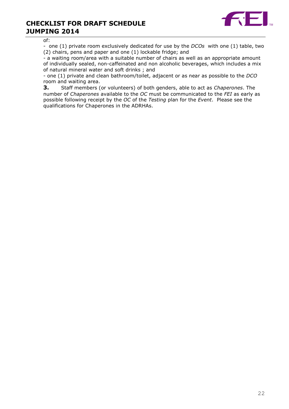

of:

- one (1) private room exclusively dedicated for use by the *DCOs* with one (1) table, two (2) chairs, pens and paper and one (1) lockable fridge; and

- a waiting room/area with a suitable number of chairs as well as an appropriate amount of individually sealed, non-caffeinated and non alcoholic beverages, which includes a mix of natural mineral water and soft drinks ; and

- one (1) private and clean bathroom/toilet, adjacent or as near as possible to the *DCO* room and waiting area.

**3.** Staff members (or volunteers) of both genders, able to act as *Chaperones*. The number of *Chaperones* available to the *OC* must be communicated to the *FEI* as early as possible following receipt by the *OC* of the *Testing* plan for the *Event*. Please see the qualifications for Chaperones in the ADRHAs.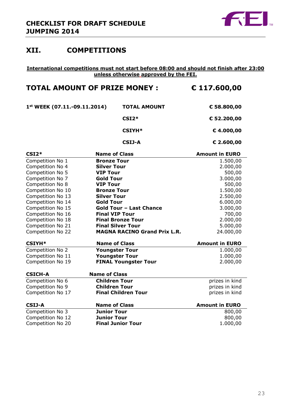

# **XII. COMPETITIONS**

#### **International competitions must not start before 08:00 and should not finish after 23:00 unless otherwise approved by the FEI.**

# **TOTAL AMOUNT OF PRIZE MONEY : € 117.600,00**

| $1st$ WEEK (07.11.-09.11.2014) | <b>TOTAL AMOUNT</b> | € 58.800,00 |
|--------------------------------|---------------------|-------------|
|                                | $CSI2*$             | € 52.200,00 |
|                                | $CSIYH*$            | € 4.000,00  |
|                                | <b>CSIJ-A</b>       | € 2.600,00  |

| $CSI2*$           | <b>Name of Class</b>                | <b>Amount in EURO</b> |
|-------------------|-------------------------------------|-----------------------|
| Competition No 1  | <b>Bronze Tour</b>                  | 1.500,00              |
| Competition No 4  | <b>Silver Tour</b>                  | 2.000,00              |
| Competition No 5  | <b>VIP Tour</b>                     | 500,00                |
| Competition No 7  | <b>Gold Tour</b>                    | 3.000,00              |
| Competition No 8  | <b>VIP Tour</b>                     | 500,00                |
| Competition No 10 | <b>Bronze Tour</b>                  | 1.500,00              |
| Competition No 13 | <b>Silver Tour</b>                  | 2.500,00              |
| Competition No 14 | <b>Gold Tour</b>                    | 6.000,00              |
| Competition No 15 | <b>Gold Tour - Last Chance</b>      | 3.000,00              |
| Competition No 16 | <b>Final VIP Tour</b>               | 700,00                |
| Competition No 18 | <b>Final Bronze Tour</b>            | 2.000,00              |
| Competition No 21 | <b>Final Silver Tour</b>            | 5.000,00              |
| Competition No 22 | <b>MAGNA RACINO Grand Prix L.R.</b> | 24.000,00             |
| <b>CSIYH*</b>     | <b>Name of Class</b>                | <b>Amount in EURO</b> |
| Competition No 2  | <b>Youngster Tour</b>               | 1.000,00              |
| Competition No 11 | <b>Youngster Tour</b>               | 1.000,00              |
| Competition No 19 | <b>FINAL Youngster Tour</b>         | 2.000,00              |
| <b>CSICH-A</b>    | <b>Name of Class</b>                |                       |
| Competition No 6  | <b>Children Tour</b>                | prizes in kind        |
| Competition No 9  | <b>Children Tour</b>                | prizes in kind        |
| Competition No 17 | <b>Final Children Tour</b>          | prizes in kind        |
| <b>CSIJ-A</b>     | <b>Name of Class</b>                | <b>Amount in EURO</b> |
| Competition No 3  | <b>Junior Tour</b>                  | 800,00                |
| Competition No 12 |                                     |                       |
|                   | <b>Junior Tour</b>                  | 800,00                |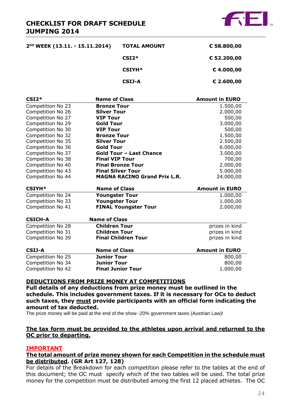

| 2nd WEEK (13.11. - 15.11.2014) | <b>TOTAL AMOUNT</b> | € 58.800,00 |
|--------------------------------|---------------------|-------------|
|                                | $CSI2*$             | € 52.200,00 |
|                                | <b>CSIYH*</b>       | €4.000,00   |
|                                | CSIJ-A              | € 2.600,00  |

| $CSI2*$           | <b>Name of Class</b>                | <b>Amount in EURO</b> |
|-------------------|-------------------------------------|-----------------------|
| Competition No 23 | <b>Bronze Tour</b>                  | 1.500,00              |
| Competition No 26 | <b>Silver Tour</b>                  | 2.000,00              |
| Competition No 27 | <b>VIP Tour</b>                     | 500,00                |
| Competition No 29 | <b>Gold Tour</b>                    | 3.000,00              |
| Competition No 30 | <b>VIP Tour</b>                     | 500,00                |
| Competition No 32 | <b>Bronze Tour</b>                  | 1.500,00              |
| Competition No 35 | <b>Silver Tour</b>                  | 2.500,00              |
| Competition No 36 | <b>Gold Tour</b>                    | 6.000,00              |
| Competition No 37 | <b>Gold Tour - Last Chance</b>      | 3.000,00              |
| Competition No 38 | <b>Final VIP Tour</b>               | 700,00                |
| Competition No 40 | <b>Final Bronze Tour</b>            | 2.000,00              |
| Competition No 43 | <b>Final Silver Tour</b>            | 5.000,00              |
| Competition No 44 | <b>MAGNA RACINO Grand Prix L.R.</b> | 24.000,00             |
| <b>CSIYH*</b>     | <b>Name of Class</b>                | <b>Amount in EURO</b> |
| Competition No 24 | <b>Youngster Tour</b>               | 1.000,00              |
| Competition No 33 | <b>Youngster Tour</b>               | 1.000,00              |
| Competition No 41 | <b>FINAL Youngster Tour</b>         | 2.000,00              |
| <b>CSICH-A</b>    | <b>Name of Class</b>                |                       |
| Competition No 28 | <b>Children Tour</b>                | prizes in kind        |
| Competition No 31 | <b>Children Tour</b>                | prizes in kind        |
| Competition No 39 | <b>Final Children Tour</b>          | prizes in kind        |
| <b>CSIJ-A</b>     | <b>Name of Class</b>                | <b>Amount in EURO</b> |

| .                 | .                        |          |
|-------------------|--------------------------|----------|
| Competition No 25 | <b>Junior Tour</b>       | 800,00   |
| Competition No 34 | Junior Tour              | 800,00   |
| Competition No 42 | <b>Final Junior Tour</b> | 1.000,00 |
|                   |                          |          |

#### **DEDUCTIONS FROM PRIZE MONEY AT COMPETITIONS**

**Full details of any deductions from prize money must be outlined in the schedule. This includes government taxes. If it is necessary for OCs to deduct such taxes, they must provide participants with an official form indicating the amount of tax deducted.** 

The prize money will be paid at the end of the show -20% government taxes (Austrian Law)!

### **The tax form must be provided to the athletes upon arrival and returned to the OC prior to departing.**

#### **IMPORTANT**

#### **The total amount of prize money shown for each Competition in the schedule must be distributed. (GR Art 127, 128)**

For details of the Breakdown for each competition please refer to the tables at the end of this document; the OC must specify which of the two tables will be used. The total prize money for the competition must be distributed among the first 12 placed athletes. The OC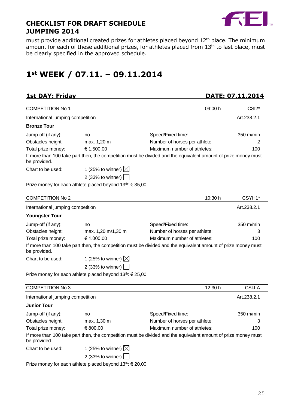

must provide additional created prizes for athletes placed beyond 12<sup>th</sup> place. The minimum amount for each of these additional prizes, for athletes placed from 13<sup>th</sup> to last place, must be clearly specified in the approved schedule.

# **1st WEEK / 07.11. – 09.11.2014**

**1st DAY: Friday DATE: 07.11.2014** 

| <b>COMPETITION No 1</b>           |                                                                       | 09:00 h                                                                                                        | CSI <sub>2</sub> * |
|-----------------------------------|-----------------------------------------------------------------------|----------------------------------------------------------------------------------------------------------------|--------------------|
| International jumping competition |                                                                       |                                                                                                                | Art.238.2.1        |
| <b>Bronze Tour</b>                |                                                                       |                                                                                                                |                    |
| Jump-off (if any):                | no                                                                    | Speed/Fixed time:                                                                                              | 350 m/min          |
| Obstacles height:                 | max. 1,20 m                                                           | Number of horses per athlete:                                                                                  | 2                  |
| Total prize money:                | € 1.500,00                                                            | Maximum number of athletes:                                                                                    | 100                |
| be provided.                      |                                                                       | If more than 100 take part then, the competition must be divided and the equivalent amount of prize money must |                    |
| Chart to be used:                 | 1 (25% to winner) $\boxtimes$                                         |                                                                                                                |                    |
|                                   | 2 (33% to winner) $\Box$                                              |                                                                                                                |                    |
|                                   | Prize money for each athlete placed beyond 13 <sup>th</sup> : € 35,00 |                                                                                                                |                    |
| <b>COMPETITION No 2</b>           |                                                                       | 10:30 h                                                                                                        | CSYH1*             |
| International jumping competition |                                                                       |                                                                                                                | Art.238.2.1        |
| <b>Youngster Tour</b>             |                                                                       |                                                                                                                |                    |
| Jump-off (if any):                | no                                                                    | Speed/Fixed time:                                                                                              | 350 m/min          |
| Obstacles height:                 | max. 1,20 m/1,30 m                                                    | Number of horses per athlete:                                                                                  | 3                  |
| Total prize money:                | € 1.000,00                                                            | Maximum number of athletes:                                                                                    | 100                |
| be provided.                      |                                                                       | If more than 100 take part then, the competition must be divided and the equivalent amount of prize money must |                    |
| Chart to be used:                 | 1 (25% to winner) $\boxtimes$                                         |                                                                                                                |                    |
|                                   | 2 (33% to winner)                                                     |                                                                                                                |                    |
|                                   | Prize money for each athlete placed beyond $13^{th}$ : $\in$ 25,00    |                                                                                                                |                    |
| <b>COMPETITION No 3</b>           |                                                                       | 12:30 h                                                                                                        | CSIJ-A             |
| International jumping competition |                                                                       |                                                                                                                | Art.238.2.1        |
| <b>Junior Tour</b>                |                                                                       |                                                                                                                |                    |
| Jump-off (if any):                | no                                                                    | Speed/Fixed time:                                                                                              | 350 m/min          |
| Obstacles height:                 | max. 1,30 m                                                           | Number of horses per athlete:                                                                                  |                    |
| Total prize money:                | € 800,00                                                              | Maximum number of athletes:                                                                                    | 100                |
| be provided.                      |                                                                       | If more than 100 take part then, the competition must be divided and the equivalent amount of prize money must |                    |
| Chart to be used:                 | 1 (25% to winner) $\boxtimes$                                         |                                                                                                                |                    |
|                                   | 2 (33% to winner) [                                                   |                                                                                                                |                    |

Prize money for each athlete placed beyond 13<sup>th</sup>: € 20,00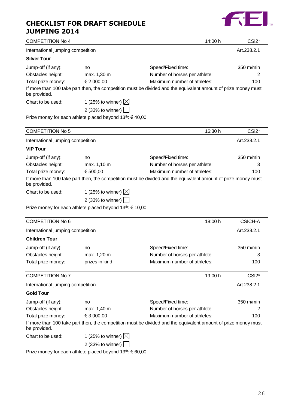# **CHECKLIST FOR DRAFT SCHEDULE**



| <b>JUMPING 2014</b>               |                                                                       |                                                                                                                |                               |
|-----------------------------------|-----------------------------------------------------------------------|----------------------------------------------------------------------------------------------------------------|-------------------------------|
| <b>COMPETITION No 4</b>           |                                                                       | 14:00 h                                                                                                        | CSI <sub>2</sub> <sup>*</sup> |
| International jumping competition |                                                                       |                                                                                                                | Art.238.2.1                   |
| <b>Silver Tour</b>                |                                                                       |                                                                                                                |                               |
| Jump-off (if any):                | no                                                                    | Speed/Fixed time:                                                                                              | 350 m/min                     |
| Obstacles height:                 | max. 1,30 m                                                           | Number of horses per athlete:                                                                                  | 2                             |
| Total prize money:                | € 2.000,00                                                            | Maximum number of athletes:                                                                                    | 100                           |
| be provided.                      |                                                                       | If more than 100 take part then, the competition must be divided and the equivalent amount of prize money must |                               |
| Chart to be used:                 | 1 (25% to winner) $\boxtimes$                                         |                                                                                                                |                               |
|                                   | 2 (33% to winner)                                                     |                                                                                                                |                               |
|                                   | Prize money for each athlete placed beyond 13 <sup>th</sup> : € 40,00 |                                                                                                                |                               |
| <b>COMPETITION No 5</b>           |                                                                       | 16:30 h                                                                                                        | CSI <sub>2</sub> *            |
| International jumping competition |                                                                       |                                                                                                                | Art.238.2.1                   |
| <b>VIP Tour</b>                   |                                                                       |                                                                                                                |                               |
| Jump-off (if any):                | no                                                                    | Speed/Fixed time:                                                                                              | 350 m/min                     |
| Obstacles height:                 | max. 1,10 m                                                           | Number of horses per athlete:                                                                                  | З                             |
| Total prize money:                | € 500,00                                                              | Maximum number of athletes:                                                                                    | 100                           |
| be provided.                      |                                                                       | If more than 100 take part then, the competition must be divided and the equivalent amount of prize money must |                               |
| Chart to be used:                 | 1 (25% to winner) $\boxtimes$                                         |                                                                                                                |                               |
|                                   | 2 (33% to winner)                                                     |                                                                                                                |                               |
|                                   | Prize money for each athlete placed beyond 13 <sup>th</sup> : € 10,00 |                                                                                                                |                               |
| <b>COMPETITION No 6</b>           |                                                                       | 18:00 h                                                                                                        | <b>CSICH-A</b>                |
| International jumping competition |                                                                       |                                                                                                                | Art.238.2.1                   |
| <b>Children Tour</b>              |                                                                       |                                                                                                                |                               |
| Jump-off (if any):                | no                                                                    | Speed/Fixed time:                                                                                              | 350 m/min                     |
| Obstacles height:                 | max. 1,20 m                                                           | Number of horses per athlete:                                                                                  | з                             |
| Total prize money:                | prizes in kind                                                        | Maximum number of athletes:                                                                                    | 100                           |
| <b>COMPETITION No 7</b>           |                                                                       | 19:00 h                                                                                                        | CSI <sub>2</sub> *            |
| International jumping competition |                                                                       |                                                                                                                | Art.238.2.1                   |

**Gold Tour** Jump-off (if any): no no Speed/Fixed time: 350 m/min<br>Obstacles height: max. 1,40 m Number of horses per athlete: 2 Obstacles height: max. 1,40 m Number of horses per athlete: 2 Total prize money: € 3.000,00 Maximum number of athletes: 100 If more than 100 take part then, the competition must be divided and the equivalent amount of prize money must be provided. Chart to be used: 1 (25% to winner)  $\boxtimes$ 

| usea. | $\frac{1}{2}$ (25% to winner) $\boxtimes$ |
|-------|-------------------------------------------|
|       | 2 (33% to winner) $\Box$                  |

Prize money for each athlete placed beyond 13<sup>th</sup>: € 60,00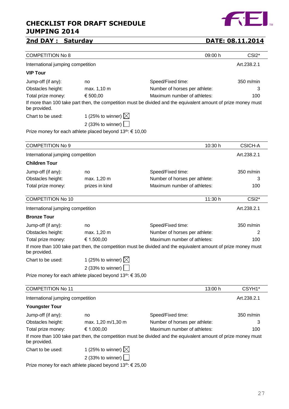# **2nd DAY : Saturday DATE: 08.11.2014**

27

| <b>COMPETITION No 8</b>           |                                                                                                                |                               | 09:00 h | CSI <sub>2</sub> * |
|-----------------------------------|----------------------------------------------------------------------------------------------------------------|-------------------------------|---------|--------------------|
| International jumping competition |                                                                                                                |                               |         | Art.238.2.1        |
| <b>VIP Tour</b>                   |                                                                                                                |                               |         |                    |
| Jump-off (if any):                | no                                                                                                             | Speed/Fixed time:             |         | 350 m/min          |
| Obstacles height:                 | max. 1,10 m                                                                                                    | Number of horses per athlete: |         | 3                  |
| Total prize money:                | € 500,00                                                                                                       | Maximum number of athletes:   |         | 100                |
| be provided.                      | If more than 100 take part then, the competition must be divided and the equivalent amount of prize money must |                               |         |                    |
| Chart to be used:                 | 1 (25% to winner) $\boxtimes$                                                                                  |                               |         |                    |
|                                   | 2 (33% to winner) $\lfloor$                                                                                    |                               |         |                    |
|                                   | Prize money for each athlete placed beyond 13 <sup>th</sup> : € 10,00                                          |                               |         |                    |
| <b>COMPETITION No 9</b>           |                                                                                                                |                               | 10:30 h | <b>CSICH-A</b>     |
|                                   |                                                                                                                |                               |         |                    |
| International jumping competition |                                                                                                                |                               |         | Art.238.2.1        |
| <b>Children Tour</b>              |                                                                                                                |                               |         |                    |
| Jump-off (if any):                | no                                                                                                             | Speed/Fixed time:             |         | 350 m/min          |
| Obstacles height:                 | max. 1,20 m                                                                                                    | Number of horses per athlete: |         | 3                  |
| Total prize money:                | prizes in kind                                                                                                 | Maximum number of athletes:   |         | 100                |
| <b>COMPETITION No 10</b>          |                                                                                                                |                               | 11:30 h | CSI2*              |
| International jumping competition |                                                                                                                |                               |         | Art.238.2.1        |
| <b>Bronze Tour</b>                |                                                                                                                |                               |         |                    |
| Jump-off (if any):                | no                                                                                                             | Speed/Fixed time:             |         | 350 m/min          |
| Obstacles height:                 | max. 1,20 m                                                                                                    | Number of horses per athlete: |         | 2                  |
| Total prize money:                | € 1.500,00                                                                                                     | Maximum number of athletes:   |         | 100                |
| be provided.                      | If more than 100 take part then, the competition must be divided and the equivalent amount of prize money must |                               |         |                    |
| Chart to be used:                 | 1 (25% to winner) $\boxtimes$                                                                                  |                               |         |                    |
|                                   | 2 (33% to winner) $\boxed{\phantom{1}}$                                                                        |                               |         |                    |
|                                   | Prize money for each athlete placed beyond 13th: € 35,00                                                       |                               |         |                    |
| <b>COMPETITION No 11</b>          |                                                                                                                |                               | 13:00 h | CSYH1*             |
| International jumping competition |                                                                                                                |                               |         | Art.238.2.1        |
| <b>Youngster Tour</b>             |                                                                                                                |                               |         |                    |
| Jump-off (if any):                | no                                                                                                             | Speed/Fixed time:             |         | 350 m/min          |
| Obstacles height:                 | max. 1,20 m/1,30 m                                                                                             | Number of horses per athlete: |         | 3                  |
| Total prize money:                | € 1.000,00                                                                                                     | Maximum number of athletes:   |         | 100                |
| be provided.                      | If more than 100 take part then, the competition must be divided and the equivalent amount of prize money must |                               |         |                    |

| Chart to be used: | 1 (25% to winner) $\boxtimes$                                                                                                                                                                                                                                                                                   |
|-------------------|-----------------------------------------------------------------------------------------------------------------------------------------------------------------------------------------------------------------------------------------------------------------------------------------------------------------|
|                   | $\sqrt{2}$<br>$\frac{1}{2} \left( \frac{1}{2} \left( \frac{1}{2} \left( \frac{1}{2} \left( \frac{1}{2} \left( \frac{1}{2} \left( \frac{1}{2} \left( \frac{1}{2} \right) \right) \right) - \frac{1}{2} \left( \frac{1}{2} \left( \frac{1}{2} \left( \frac{1}{2} \right) \right) \right) \right) \right) \right)$ |

2 (33% to winner)

Prize money for each athlete placed beyond 13<sup>th</sup>: € 25,00

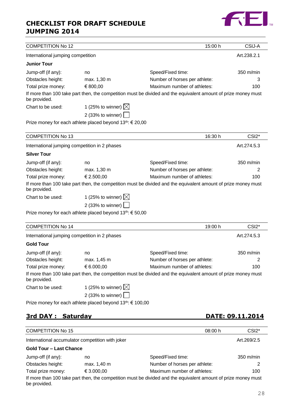

| <b>COMPETITION No 12</b>                      |                                                                       | 15:00 h                                                                                                        | CSIJ-A             |
|-----------------------------------------------|-----------------------------------------------------------------------|----------------------------------------------------------------------------------------------------------------|--------------------|
| International jumping competition             |                                                                       |                                                                                                                | Art.238.2.1        |
| <b>Junior Tour</b>                            |                                                                       |                                                                                                                |                    |
| Jump-off (if any):                            | no                                                                    | Speed/Fixed time:                                                                                              | 350 m/min          |
| Obstacles height:                             | max. 1,30 m                                                           | Number of horses per athlete:                                                                                  | 3                  |
| Total prize money:                            | € 800,00                                                              | Maximum number of athletes:                                                                                    | 100                |
| be provided.                                  |                                                                       | If more than 100 take part then, the competition must be divided and the equivalent amount of prize money must |                    |
| Chart to be used:                             | 1 (25% to winner) $\boxtimes$                                         |                                                                                                                |                    |
|                                               | 2 (33% to winner)                                                     |                                                                                                                |                    |
|                                               | Prize money for each athlete placed beyond 13th: € 20,00              |                                                                                                                |                    |
| <b>COMPETITION No 13</b>                      |                                                                       | 16:30 h                                                                                                        | CSI <sub>2</sub> * |
| International jumping competition in 2 phases |                                                                       |                                                                                                                | Art.274.5.3        |
| <b>Silver Tour</b>                            |                                                                       |                                                                                                                |                    |
| Jump-off (if any):                            | no                                                                    | Speed/Fixed time:                                                                                              | 350 m/min          |
| Obstacles height:                             | max. 1,30 m                                                           | Number of horses per athlete:                                                                                  | 2                  |
| Total prize money:                            | € 2.500,00                                                            | Maximum number of athletes:                                                                                    | 100                |
| be provided.                                  |                                                                       | If more than 100 take part then, the competition must be divided and the equivalent amount of prize money must |                    |
| Chart to be used:                             | 1 (25% to winner) $\boxtimes$                                         |                                                                                                                |                    |
|                                               | 2 (33% to winner)                                                     |                                                                                                                |                    |
|                                               | Prize money for each athlete placed beyond 13 <sup>th</sup> : € 50,00 |                                                                                                                |                    |
| <b>COMPETITION No 14</b>                      |                                                                       | 19:00 h                                                                                                        | CSI <sub>2</sub> * |
| International jumping competition in 2 phases |                                                                       |                                                                                                                | Art.274.5.3        |
| <b>Gold Tour</b>                              |                                                                       |                                                                                                                |                    |
| Jump-off (if any):                            | no                                                                    | Speed/Fixed time:                                                                                              | 350 m/min          |
| Obstacles height:                             | max. 1,45 m                                                           | Number of horses per athlete:                                                                                  | 2                  |
| Total prize money:                            | € 6.000,00                                                            | Maximum number of athletes:                                                                                    | 100                |
| be provided.                                  |                                                                       | If more than 100 take part then, the competition must be divided and the equivalent amount of prize money must |                    |
| Chart to be used:                             | 1 (25% to winner) $\boxtimes$                                         |                                                                                                                |                    |
|                                               | 2 (33% to winner)                                                     |                                                                                                                |                    |
|                                               | Prize money for each athlete placed beyond 13th: € 100,00             |                                                                                                                |                    |

# **3rd DAY : Saturday DATE: 09.11.2014**

| <b>COMPETITION No 15</b>       |                                                  | 08:00 h                                                                                                        | CSI <sub>2</sub> *  |
|--------------------------------|--------------------------------------------------|----------------------------------------------------------------------------------------------------------------|---------------------|
|                                | International accumulator competition with joker |                                                                                                                | Art.269/2.5         |
| <b>Gold Tour - Last Chance</b> |                                                  |                                                                                                                |                     |
| Jump-off (if any):             | no                                               | Speed/Fixed time:                                                                                              | $350 \text{ m/min}$ |
| Obstacles height:              | max. 1,40 m                                      | Number of horses per athlete:                                                                                  | 2                   |
| Total prize money:             | € 3.000,00                                       | Maximum number of athletes:                                                                                    | 100                 |
| be provided.                   |                                                  | If more than 100 take part then, the competition must be divided and the equivalent amount of prize money must |                     |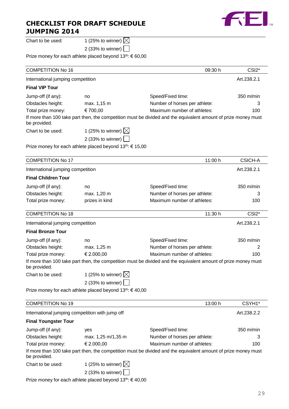

Chart to be used:  $1$  (25% to winner)  $\boxtimes$ 

2 (33% to winner)

Prize money for each athlete placed beyond 13<sup>th</sup>: € 60,00

| <b>COMPETITION No 16</b>                        |                                                                       | 09:30 h                                                                                                        | CSI <sub>2</sub> * |
|-------------------------------------------------|-----------------------------------------------------------------------|----------------------------------------------------------------------------------------------------------------|--------------------|
| International jumping competition               |                                                                       |                                                                                                                | Art.238.2.1        |
| <b>Final VIP Tour</b>                           |                                                                       |                                                                                                                |                    |
| Jump-off (if any):                              | no                                                                    | Speed/Fixed time:                                                                                              | 350 m/min          |
| Obstacles height:                               | max. 1,15 m                                                           | Number of horses per athlete:                                                                                  | З                  |
| Total prize money:                              | €700,00                                                               | Maximum number of athletes:                                                                                    | 100                |
| be provided.                                    |                                                                       | If more than 100 take part then, the competition must be divided and the equivalent amount of prize money must |                    |
| Chart to be used:                               | 1 (25% to winner) $\boxtimes$                                         |                                                                                                                |                    |
|                                                 | 2 (33% to winner)                                                     |                                                                                                                |                    |
|                                                 | Prize money for each athlete placed beyond 13 <sup>th</sup> : € 15,00 |                                                                                                                |                    |
| <b>COMPETITION No 17</b>                        |                                                                       | 11:00 h                                                                                                        | <b>CSICH-A</b>     |
|                                                 |                                                                       |                                                                                                                |                    |
| International jumping competition               |                                                                       |                                                                                                                | Art.238.2.1        |
| <b>Final Children Tour</b>                      |                                                                       |                                                                                                                |                    |
| Jump-off (if any):                              | no                                                                    | Speed/Fixed time:                                                                                              | 350 m/min          |
| Obstacles height:                               | max. 1,20 m                                                           | Number of horses per athlete:                                                                                  | З                  |
| Total prize money:                              | prizes in kind                                                        | Maximum number of athletes:                                                                                    | 100                |
| <b>COMPETITION No 18</b>                        |                                                                       | 11:30 h                                                                                                        | CSI <sub>2</sub> * |
| International jumping competition               |                                                                       |                                                                                                                | Art.238.2.1        |
| <b>Final Bronze Tour</b>                        |                                                                       |                                                                                                                |                    |
| Jump-off (if any):                              | no                                                                    | Speed/Fixed time:                                                                                              | 350 m/min          |
| Obstacles height:                               | max. 1,25 m                                                           | Number of horses per athlete:                                                                                  | 2                  |
| Total prize money:                              | € 2.000,00                                                            | Maximum number of athletes:                                                                                    | 100                |
| be provided.                                    |                                                                       | If more than 100 take part then, the competition must be divided and the equivalent amount of prize money must |                    |
| Chart to be used:                               | 1 (25% to winner) $\boxtimes$                                         |                                                                                                                |                    |
|                                                 | 2 (33% to winner)                                                     |                                                                                                                |                    |
|                                                 | Prize money for each athlete placed beyond 13 <sup>th</sup> : € 40,00 |                                                                                                                |                    |
| <b>COMPETITION No 19</b>                        |                                                                       | 13:00 h                                                                                                        | CSYH1*             |
| International jumping competition with jump off |                                                                       |                                                                                                                | Art.238.2.2        |
| <b>Final Youngster Tour</b>                     |                                                                       |                                                                                                                |                    |
| Jump-off (if any):                              | yes                                                                   | Speed/Fixed time:                                                                                              | 350 m/min          |
| Obstacles height:                               | max. 1,25 m/1,35 m                                                    | Number of horses per athlete:                                                                                  | З                  |
| Total prize money:                              | € 2.000,00                                                            | Maximum number of athletes:                                                                                    | 100                |
| be provided.                                    |                                                                       | If more than 100 take part then, the competition must be divided and the equivalent amount of prize money must |                    |
| Chart to be used:                               | 1 (25% to winner) $\boxtimes$                                         |                                                                                                                |                    |
|                                                 | 2 (33% to winner)                                                     |                                                                                                                |                    |

Prize money for each athlete placed beyond 13<sup>th</sup>: € 40,00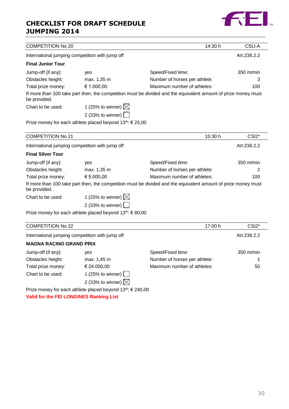

| <b>COMPETITION No 20</b>       |                                                                       | 14:30 h                                                                                                        | CSIJ-A             |
|--------------------------------|-----------------------------------------------------------------------|----------------------------------------------------------------------------------------------------------------|--------------------|
|                                | International jumping competition with jump off                       |                                                                                                                | Art.238.2.2        |
| <b>Final Junior Tour</b>       |                                                                       |                                                                                                                |                    |
| Jump-off (if any):             | yes                                                                   | Speed/Fixed time:                                                                                              | 350 m/min          |
| Obstacles height:              | max. 1,35 m                                                           | Number of horses per athlete:                                                                                  | 3                  |
| Total prize money:             | € 1.000,00                                                            | Maximum number of athletes:                                                                                    | 100                |
| be provided.                   |                                                                       | If more than 100 take part then, the competition must be divided and the equivalent amount of prize money must |                    |
| Chart to be used:              | 1 (25% to winner) $\boxtimes$                                         |                                                                                                                |                    |
|                                | 2 (33% to winner)                                                     |                                                                                                                |                    |
|                                | Prize money for each athlete placed beyond 13 <sup>th</sup> : € 25,00 |                                                                                                                |                    |
|                                |                                                                       |                                                                                                                |                    |
| <b>COMPETITION No 21</b>       |                                                                       | 15:30 h                                                                                                        | CSI <sub>2</sub> * |
|                                | International jumping competition with jump off                       |                                                                                                                | Art.238.2.2        |
| <b>Final Silver Tour</b>       |                                                                       |                                                                                                                |                    |
| Jump-off (if any):             | yes                                                                   | Speed/Fixed time:                                                                                              | 350 m/min          |
| Obstacles height:              | max. 1,35 m                                                           | Number of horses per athlete:                                                                                  | 2                  |
| Total prize money:             | € 5.000,00                                                            | Maximum number of athletes:                                                                                    | 100                |
| be provided.                   |                                                                       | If more than 100 take part then, the competition must be divided and the equivalent amount of prize money must |                    |
| Chart to be used:              | 1 (25% to winner) $\boxtimes$                                         |                                                                                                                |                    |
|                                | 2 (33% to winner)                                                     |                                                                                                                |                    |
|                                | Prize money for each athlete placed beyond $13^{th}$ : $\in$ 80,00    |                                                                                                                |                    |
| <b>COMPETITION No 22</b>       |                                                                       | 17:00 h                                                                                                        | CSI <sub>2</sub> * |
|                                | International jumping competition with jump off                       |                                                                                                                | Art.238.2.2        |
| <b>MAGNA RACINO GRAND PRIX</b> |                                                                       |                                                                                                                |                    |
| Jump-off (if any):             | yes                                                                   | Speed/Fixed time:                                                                                              | 350 m/min          |
| Obstacles height:              | max. 1,45 m                                                           | Number of horses per athlete:                                                                                  | 1                  |

Total prize money: € 24.000,00 Maximum number of athletes: 50 Chart to be used:  $1 (25\% \text{ to winner})$ 

2 (33% to winner)  $\boxtimes$ 

Prize money for each athlete placed beyond 13<sup>th</sup>: € 240,00

**Valid for the FEI LONGINES Ranking List**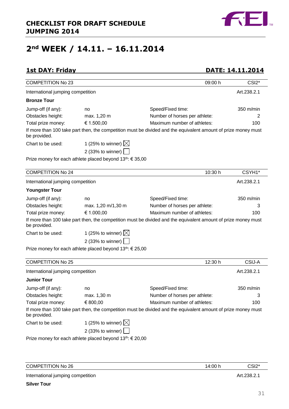

# **2nd WEEK / 14.11. – 16.11.2014**

# **1st DAY: Friday DATE: 14.11.2014**

| <b>COMPETITION No 23</b>                |                                                                       | 09:00 h                                                                                                        | CSI <sub>2</sub> * |
|-----------------------------------------|-----------------------------------------------------------------------|----------------------------------------------------------------------------------------------------------------|--------------------|
| International jumping competition       |                                                                       |                                                                                                                | Art.238.2.1        |
| <b>Bronze Tour</b>                      |                                                                       |                                                                                                                |                    |
| Jump-off (if any):                      | no                                                                    | Speed/Fixed time:                                                                                              | 350 m/min          |
| Obstacles height:                       | max. 1,20 m                                                           | Number of horses per athlete:                                                                                  | 2                  |
| Total prize money:                      | € 1.500,00                                                            | Maximum number of athletes:                                                                                    | 100                |
| be provided.                            |                                                                       | If more than 100 take part then, the competition must be divided and the equivalent amount of prize money must |                    |
| Chart to be used:                       | 1 (25% to winner) $\boxtimes$                                         |                                                                                                                |                    |
|                                         | 2 (33% to winner) $\boxed{\phantom{1}}$                               |                                                                                                                |                    |
|                                         | Prize money for each athlete placed beyond 13th: € 35,00              |                                                                                                                |                    |
| <b>COMPETITION No 24</b>                |                                                                       | 10:30 h                                                                                                        | CSYH1*             |
| International jumping competition       |                                                                       |                                                                                                                | Art.238.2.1        |
| <b>Youngster Tour</b>                   |                                                                       |                                                                                                                |                    |
| Jump-off (if any):                      | no                                                                    | Speed/Fixed time:                                                                                              | 350 m/min          |
| Obstacles height:                       | max. 1,20 m/1,30 m                                                    | Number of horses per athlete:                                                                                  | 3                  |
| Total prize money:                      | € 1.000,00                                                            | Maximum number of athletes:                                                                                    | 100                |
| be provided.                            |                                                                       | If more than 100 take part then, the competition must be divided and the equivalent amount of prize money must |                    |
| Chart to be used:                       | 1 (25% to winner) $\boxtimes$                                         |                                                                                                                |                    |
|                                         | 2 (33% to winner)                                                     |                                                                                                                |                    |
|                                         | Prize money for each athlete placed beyond 13 <sup>th</sup> : € 25,00 |                                                                                                                |                    |
| <b>COMPETITION No 25</b>                |                                                                       | 12:30 h                                                                                                        | CSIJ-A             |
| International jumping competition       |                                                                       |                                                                                                                | Art.238.2.1        |
| <b>Junior Tour</b>                      |                                                                       |                                                                                                                |                    |
|                                         |                                                                       |                                                                                                                | 350 m/min          |
| Jump-off (if any):<br>Obstacles height: | no<br>max. 1,30 m                                                     | Speed/Fixed time:<br>Number of horses per athlete:                                                             |                    |
| Total prize money:                      | € 800,00                                                              | Maximum number of athletes:                                                                                    | 100                |
| be provided.                            |                                                                       | If more than 100 take part then, the competition must be divided and the equivalent amount of prize money must |                    |
| Chart to be used:                       | 1 (25% to winner) $\boxtimes$                                         |                                                                                                                |                    |
|                                         | 2 (33% to winner)                                                     |                                                                                                                |                    |
|                                         | Prize money for each athlete placed beyond 13th: € 20,00              |                                                                                                                |                    |

| <b>COMPETITION No 26</b>          | 14:00 h | CSI2*       |
|-----------------------------------|---------|-------------|
| International jumping competition |         | Art.238.2.1 |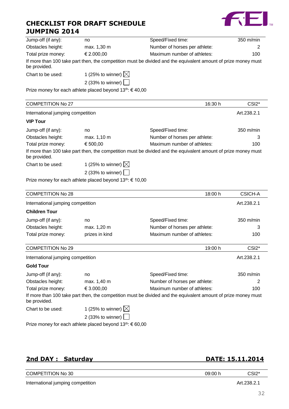

| Jump-off (if any):                                                 | no.                               | Speed/Fixed time:                                                                                              | 350 m/min |
|--------------------------------------------------------------------|-----------------------------------|----------------------------------------------------------------------------------------------------------------|-----------|
| Obstacles height:                                                  | max. 1,30 m                       | Number of horses per athlete:                                                                                  | 2         |
| Total prize money:                                                 | € 2.000,00                        | Maximum number of athletes:                                                                                    | 100       |
| be provided.                                                       |                                   | If more than 100 take part then, the competition must be divided and the equivalent amount of prize money must |           |
| Chart to be used:                                                  | 1 (25% to winner) $\boxtimes$     |                                                                                                                |           |
|                                                                    | 2 (33% to winner) $\vert \ \vert$ |                                                                                                                |           |
| Prize money for each athlete placed beyond $13^{th}$ : $\in$ 40,00 |                                   |                                                                                                                |           |

| <b>COMPETITION No 27</b>          |                               | 16:30 h                                                                                                        | CSI <sub>2</sub> *  |
|-----------------------------------|-------------------------------|----------------------------------------------------------------------------------------------------------------|---------------------|
| International jumping competition |                               |                                                                                                                | Art.238.2.1         |
| <b>VIP Tour</b>                   |                               |                                                                                                                |                     |
| Jump-off (if any):                | no                            | Speed/Fixed time:                                                                                              | $350 \text{ m/min}$ |
| Obstacles height:                 | max. 1,10 m                   | Number of horses per athlete:                                                                                  | 3                   |
| Total prize money:                | € 500,00                      | Maximum number of athletes:                                                                                    | 100                 |
| be provided.                      |                               | If more than 100 take part then, the competition must be divided and the equivalent amount of prize money must |                     |
| Chart to be used:                 | 1 (25% to winner) $\boxtimes$ |                                                                                                                |                     |

2 (33% to winner)

Prize money for each athlete placed beyond 13<sup>th</sup>: € 10,00

| <b>COMPETITION No 28</b>          |                | 18:00 h                       | CSICH-A             |
|-----------------------------------|----------------|-------------------------------|---------------------|
| International jumping competition |                |                               | Art.238.2.1         |
| <b>Children Tour</b>              |                |                               |                     |
| Jump-off (if any):                | no             | Speed/Fixed time:             | $350 \text{ m/min}$ |
| Obstacles height:                 | max. 1,20 m    | Number of horses per athlete: | 3                   |
| Total prize money:                | prizes in kind | Maximum number of athletes:   | 100                 |
| COMPETITION No. 20                |                | 10 $\cdot$ 00 h               | CSI2*               |

|                                   |                   | וז טט:פו | UJIZ.                                                                                                                                                                          |
|-----------------------------------|-------------------|----------|--------------------------------------------------------------------------------------------------------------------------------------------------------------------------------|
| International jumping competition |                   |          | Art.238.2.1                                                                                                                                                                    |
|                                   |                   |          |                                                                                                                                                                                |
| no                                | Speed/Fixed time: |          | $350 \text{ m/min}$                                                                                                                                                            |
| max. 1,40 m                       |                   |          | 2                                                                                                                                                                              |
| € 3.000,00                        |                   |          | 100                                                                                                                                                                            |
|                                   |                   |          |                                                                                                                                                                                |
| 1 (25% to winner) $\boxtimes$     |                   |          |                                                                                                                                                                                |
| 2 (33% to winner) $\vert$ $\vert$ |                   |          |                                                                                                                                                                                |
|                                   |                   |          | Number of horses per athlete:<br>Maximum number of athletes:<br>If more than 100 take part then, the competition must be divided and the equivalent amount of prize money must |

Prize money for each athlete placed beyond 13<sup>th</sup>: € 60,00

| 2nd DAY: Saturday |
|-------------------|
|-------------------|

# **2nd DAY : Saturday DATE: 15.11.2014**

| <b>COMPETITION No 30</b>          | 09:00 h | CSI2*       |
|-----------------------------------|---------|-------------|
| International jumping competition |         | Art.238.2.1 |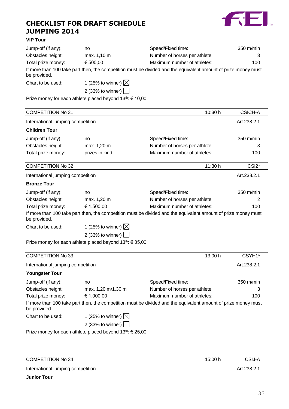

#### **VIP Tour**

| Jump-off (if any): | no                            | Speed/Fixed time:                                                                                              | $350 \text{ m/min}$ |
|--------------------|-------------------------------|----------------------------------------------------------------------------------------------------------------|---------------------|
| Obstacles height:  | max. 1,10 m                   | Number of horses per athlete:                                                                                  |                     |
| Total prize money: | € 500,00                      | Maximum number of athletes:                                                                                    | 100                 |
| be provided.       |                               | If more than 100 take part then, the competition must be divided and the equivalent amount of prize money must |                     |
| Chart to be used:  | 1 (25% to winner) $\boxtimes$ |                                                                                                                |                     |
|                    | 2 (33% to winner) $\vert$     |                                                                                                                |                     |

Prize money for each athlete placed beyond 13<sup>th</sup>: € 10,00

| <b>COMPETITION No 31</b>          |                               | 10:30 h                                                                                                        | <b>CSICH-A</b>      |
|-----------------------------------|-------------------------------|----------------------------------------------------------------------------------------------------------------|---------------------|
| International jumping competition |                               |                                                                                                                | Art.238.2.1         |
| <b>Children Tour</b>              |                               |                                                                                                                |                     |
| Jump-off (if any):                | no                            | Speed/Fixed time:                                                                                              | $350 \text{ m/min}$ |
| Obstacles height:                 | max. 1,20 m                   | Number of horses per athlete:                                                                                  | 3                   |
| Total prize money:                | prizes in kind                | Maximum number of athletes:                                                                                    | 100                 |
| <b>COMPETITION No 32</b>          |                               | 11:30 h                                                                                                        | CSI <sub>2</sub> *  |
| International jumping competition |                               |                                                                                                                | Art.238.2.1         |
| <b>Bronze Tour</b>                |                               |                                                                                                                |                     |
| Jump-off (if any):                | no                            | Speed/Fixed time:                                                                                              | 350 m/min           |
| Obstacles height:                 | max. 1,20 m                   | Number of horses per athlete:                                                                                  | 2                   |
| Total prize money:                | € 1.500,00                    | Maximum number of athletes:                                                                                    | 100                 |
| be provided.                      |                               | If more than 100 take part then, the competition must be divided and the equivalent amount of prize money must |                     |
| Chart to be used:                 | 1 (25% to winner) $\boxtimes$ |                                                                                                                |                     |
|                                   | 2 (33% to winner)             |                                                                                                                |                     |

Prize money for each athlete placed beyond 13<sup>th</sup>: € 35,00

| <b>COMPETITION No 33</b>          |                               | 13:00 h                                                                                                        | CSYH <sub>1</sub> * |
|-----------------------------------|-------------------------------|----------------------------------------------------------------------------------------------------------------|---------------------|
| International jumping competition |                               |                                                                                                                | Art.238.2.1         |
| <b>Youngster Tour</b>             |                               |                                                                                                                |                     |
| Jump-off (if any):                | no                            | Speed/Fixed time:                                                                                              | 350 m/min           |
| Obstacles height:                 | max. 1,20 m/1,30 m            | Number of horses per athlete:                                                                                  | 3                   |
| Total prize money:                | € 1.000,00                    | Maximum number of athletes:                                                                                    | 100                 |
| be provided.                      |                               | If more than 100 take part then, the competition must be divided and the equivalent amount of prize money must |                     |
| Chart to be used:                 | 1 (25% to winner) $\boxtimes$ |                                                                                                                |                     |
|                                   | 2 (33% to winner) $\vert$     |                                                                                                                |                     |
|                                   |                               |                                                                                                                |                     |

Prize money for each athlete placed beyond  $13^{th}$ :  $\in$  25,00

| <b>COMPETITION No 34</b>                                                                                                                                                                                                       | 15:00 h | CSIJ-A      |
|--------------------------------------------------------------------------------------------------------------------------------------------------------------------------------------------------------------------------------|---------|-------------|
| International jumping competition                                                                                                                                                                                              |         | Art.238.2.1 |
| in the second contract of the second contract of the second contract of the second contract of the second contract of the second contract of the second contract of the second contract of the second contract of the second c |         |             |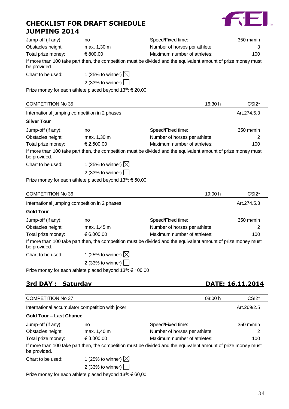

| Jump-off (if any):                            | no                                                                 | Speed/Fixed time:                                                                                              | $350$ m/min         |
|-----------------------------------------------|--------------------------------------------------------------------|----------------------------------------------------------------------------------------------------------------|---------------------|
| Obstacles height:                             | max. 1,30 m                                                        | Number of horses per athlete:                                                                                  | 3                   |
| Total prize money:                            | € 800,00                                                           | Maximum number of athletes:                                                                                    | 100                 |
| be provided.                                  |                                                                    | If more than 100 take part then, the competition must be divided and the equivalent amount of prize money must |                     |
| Chart to be used:                             | 1 (25% to winner) $\boxtimes$                                      |                                                                                                                |                     |
|                                               | 2 (33% to winner) $\vert$                                          |                                                                                                                |                     |
|                                               | Prize money for each athlete placed beyond $13^{th}$ : $\in$ 20,00 |                                                                                                                |                     |
| <b>COMPETITION No 35</b>                      |                                                                    | 16:30 h                                                                                                        | CSI <sub>2</sub> *  |
| International jumping competition in 2 phases |                                                                    |                                                                                                                | Art.274.5.3         |
| <b>Silver Tour</b>                            |                                                                    |                                                                                                                |                     |
| Jump-off (if any):                            | no                                                                 | Speed/Fixed time:                                                                                              | $350 \text{ m/min}$ |
| Obstacles height:                             | max. 1,30 m                                                        | Number of horses per athlete:                                                                                  | 2                   |
| Total prize money:                            | € 2.500,00                                                         | Maximum number of athletes:                                                                                    | 100                 |

If more than 100 take part then, the competition must be divided and the equivalent amount of prize money must be provided.

Chart to be used: 1 (25% to winner)  $\boxtimes$ 

2 (33% to winner)  $\Box$ 

Prize money for each athlete placed beyond 13<sup>th</sup>: € 50,00

| <b>COMPETITION No 36</b> |                                                                                   | 19:00 h                                                                                                        | CSI <sub>2</sub> *  |
|--------------------------|-----------------------------------------------------------------------------------|----------------------------------------------------------------------------------------------------------------|---------------------|
|                          | International jumping competition in 2 phases                                     |                                                                                                                | Art.274.5.3         |
| <b>Gold Tour</b>         |                                                                                   |                                                                                                                |                     |
| Jump-off (if any):       | no                                                                                | Speed/Fixed time:                                                                                              | $350 \text{ m/min}$ |
| Obstacles height:        | max. 1,45 m                                                                       | Number of horses per athlete:                                                                                  |                     |
| Total prize money:       | € 6.000,00                                                                        | Maximum number of athletes:                                                                                    | 100                 |
| be provided.             |                                                                                   | If more than 100 take part then, the competition must be divided and the equivalent amount of prize money must |                     |
| Chart to be used:        | 1 (25% to winner) $\boxtimes$                                                     |                                                                                                                |                     |
|                          | 2 (33% to winner) $\vert$                                                         |                                                                                                                |                     |
|                          | $D_{n+1}$ as a specifical specific delights in legal decreased 4.0th, C.4.00, 00. |                                                                                                                |                     |

Prize money for each athlete placed beyond 13<sup>th</sup>: € 100,00

# **3rd DAY : Saturday DATE: 16.11.2014**

| <b>COMPETITION No 37</b>       |                                                  | 08:00 h                                                                                                        | CSI <sub>2</sub> * |
|--------------------------------|--------------------------------------------------|----------------------------------------------------------------------------------------------------------------|--------------------|
|                                | International accumulator competition with joker |                                                                                                                | Art.269/2.5        |
| <b>Gold Tour - Last Chance</b> |                                                  |                                                                                                                |                    |
| Jump-off (if any):             | no                                               | Speed/Fixed time:                                                                                              | 350 m/min          |
| Obstacles height:              | max. 1,40 m                                      | Number of horses per athlete:                                                                                  | 2                  |
| Total prize money:             | € 3.000,00                                       | Maximum number of athletes:                                                                                    | 100                |
| be provided.                   |                                                  | If more than 100 take part then, the competition must be divided and the equivalent amount of prize money must |                    |
| Chart to be used:              | 1 (25% to winner) $\boxtimes$                    |                                                                                                                |                    |
|                                | 2 (33% to winner) $\vert$                        |                                                                                                                |                    |
|                                |                                                  |                                                                                                                |                    |

Prize money for each athlete placed beyond 13<sup>th</sup>: € 60,00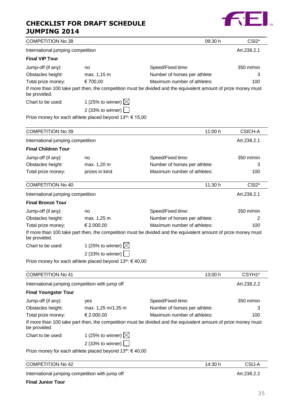# **CHECKLIST FOR DRAFT SCHEDULE**



| <b>JUMPING 2014</b>               | <b>CHECKLIST FOR DRAFT SCHEDULE</b>                                   |                                                                                                                |                               |
|-----------------------------------|-----------------------------------------------------------------------|----------------------------------------------------------------------------------------------------------------|-------------------------------|
| <b>COMPETITION No 38</b>          |                                                                       | 09:30 h                                                                                                        | CSI <sub>2</sub> <sup>*</sup> |
| International jumping competition |                                                                       |                                                                                                                | Art.238.2.1                   |
| <b>Final VIP Tour</b>             |                                                                       |                                                                                                                |                               |
| Jump-off (if any):                | no                                                                    | Speed/Fixed time:                                                                                              | 350 m/min                     |
| Obstacles height:                 | max. 1,15 m                                                           | Number of horses per athlete:                                                                                  | 3                             |
| Total prize money:                | € 700,00                                                              | Maximum number of athletes:                                                                                    | 100                           |
| be provided.                      |                                                                       | If more than 100 take part then, the competition must be divided and the equivalent amount of prize money must |                               |
| Chart to be used:                 | 1 (25% to winner) $\boxtimes$                                         |                                                                                                                |                               |
|                                   | 2 (33% to winner) $\sqrt{ }$                                          |                                                                                                                |                               |
|                                   | Prize money for each athlete placed beyond 13 <sup>th</sup> : € 15,00 |                                                                                                                |                               |
| <b>COMPETITION No 39</b>          |                                                                       | 11:00 h                                                                                                        | <b>CSICH-A</b>                |
| International jumping competition |                                                                       |                                                                                                                | Art.238.2.1                   |
| <b>Final Children Tour</b>        |                                                                       |                                                                                                                |                               |
| Jump-off (if any):                | no                                                                    | Speed/Fixed time:                                                                                              | 350 m/min                     |
| Obstacles height:                 | max. 1,20 m                                                           | Number of horses per athlete:                                                                                  | 3                             |
| Total prize money:                | prizes in kind                                                        | Maximum number of athletes:                                                                                    | 100                           |
| <b>COMPETITION No 40</b>          |                                                                       | 11:30 h                                                                                                        | CSI2*                         |
| International jumping competition |                                                                       |                                                                                                                | Art.238.2.1                   |
| <b>Final Bronze Tour</b>          |                                                                       |                                                                                                                |                               |
| Jump-off (if any):                | no                                                                    | Speed/Fixed time:                                                                                              | 350 m/min                     |
| Obstacles height:                 | max. 1,25 m                                                           | Number of horses per athlete:                                                                                  | 2                             |
| Total prize money:                | € 2.000,00                                                            | Maximum number of athletes:                                                                                    | 100                           |
| be provided.                      |                                                                       | If more than 100 take part then, the competition must be divided and the equivalent amount of prize money must |                               |
| Chart to be used:                 | 1 (25% to winner) $\boxtimes$                                         |                                                                                                                |                               |

2 (33% to winner)

Prize money for each athlete placed beyond 13<sup>th</sup>: €40,00

| <b>COMPETITION No 41</b>                        |                                                                                                                |                               | 13:00 h | CSYH <sub>1</sub> * |
|-------------------------------------------------|----------------------------------------------------------------------------------------------------------------|-------------------------------|---------|---------------------|
| International jumping competition with jump off |                                                                                                                |                               |         | Art.238.2.2         |
| <b>Final Youngster Tour</b>                     |                                                                                                                |                               |         |                     |
| Jump-off (if any):                              | yes                                                                                                            | Speed/Fixed time:             |         | $350 \text{ m/min}$ |
| Obstacles height:                               | max. 1,25 m/1,35 m                                                                                             | Number of horses per athlete: |         | 3                   |
| Total prize money:                              | € 2.000.00                                                                                                     | Maximum number of athletes:   |         | 100                 |
| be provided.                                    | If more than 100 take part then, the competition must be divided and the equivalent amount of prize money must |                               |         |                     |
| Chart to be used:                               | 1 (25% to winner) $\boxtimes$                                                                                  |                               |         |                     |
|                                                 | 2 (33% to winner) $\vert \ \vert$                                                                              |                               |         |                     |
|                                                 | Prize money for each athlete placed beyond $13^{th}$ : $\in$ 40,00                                             |                               |         |                     |

| <b>COMPETITION No 42</b>                        | 14:30 h | CSIJ-A      |
|-------------------------------------------------|---------|-------------|
| International jumping competition with jump off |         | Art.238.2.2 |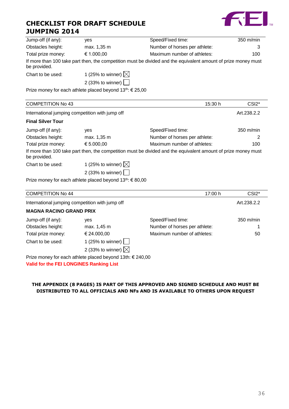

| Jump-off (if any):                              | yes                                                                | Speed/Fixed time:                                                                                              | 350 m/min          |
|-------------------------------------------------|--------------------------------------------------------------------|----------------------------------------------------------------------------------------------------------------|--------------------|
| Obstacles height:                               | max. 1,35 m                                                        | Number of horses per athlete:                                                                                  | З                  |
| Total prize money:                              | € 1.000,00                                                         | Maximum number of athletes:                                                                                    | 100                |
| be provided.                                    |                                                                    | If more than 100 take part then, the competition must be divided and the equivalent amount of prize money must |                    |
| Chart to be used:                               | 1 (25% to winner) $\boxtimes$                                      |                                                                                                                |                    |
|                                                 | 2 (33% to winner) $\vert$                                          |                                                                                                                |                    |
|                                                 | Prize money for each athlete placed beyond $13^{th}$ : $\in$ 25,00 |                                                                                                                |                    |
|                                                 |                                                                    |                                                                                                                |                    |
| <b>COMPETITION No 43</b>                        |                                                                    | 15:30 h                                                                                                        | CSI <sub>2</sub> * |
| International jumping competition with jump off |                                                                    |                                                                                                                | Art.238.2.2        |
| <b>Final Silver Tour</b>                        |                                                                    |                                                                                                                |                    |
| Jump-off (if any):                              | yes                                                                | Speed/Fixed time:                                                                                              | 350 m/min          |
| Obstacles height:                               | max. 1,35 m                                                        | Number of horses per athlete:                                                                                  | 2                  |
| Total prize money:                              | € 5.000,00                                                         | Maximum number of athletes:                                                                                    | 100                |
|                                                 |                                                                    | If more than 100 take part then, the competition must be divided and the equivalent amount of prize money must |                    |

| <b>COMPETITION No 43</b> |                                                 | 15:30 h                                                                                                        | CSI <sub>2</sub> *  |
|--------------------------|-------------------------------------------------|----------------------------------------------------------------------------------------------------------------|---------------------|
|                          | International jumping competition with jump off |                                                                                                                | Art.238.2.2         |
| <b>Final Silver Tour</b> |                                                 |                                                                                                                |                     |
| Jump-off (if any):       | <b>ves</b>                                      | Speed/Fixed time:                                                                                              | $350 \text{ m/min}$ |
| Obstacles height:        | max. 1,35 m                                     | Number of horses per athlete:                                                                                  | 2                   |
| Total prize money:       | € 5.000,00                                      | Maximum number of athletes:                                                                                    | 100                 |
| be provided.             |                                                 | If more than 100 take part then, the competition must be divided and the equivalent amount of prize money must |                     |
| Chart to be used:        | 1 (25% to winner) $\boxtimes$                   |                                                                                                                |                     |
|                          | 2 (33% to winner)                               |                                                                                                                |                     |

Prize money for each athlete placed beyond 13<sup>th</sup>: € 80,00

| <b>COMPETITION No 44</b>                       |                                                           | 17:00 h                       | CSI <sub>2</sub> *  |
|------------------------------------------------|-----------------------------------------------------------|-------------------------------|---------------------|
|                                                | International jumping competition with jump off           |                               | Art.238.2.2         |
| <b>MAGNA RACINO GRAND PRIX</b>                 |                                                           |                               |                     |
| Jump-off (if any):                             | ves                                                       | Speed/Fixed time:             | $350 \text{ m/min}$ |
| Obstacles height:                              | max. 1,45 m                                               | Number of horses per athlete: |                     |
| Total prize money:                             | € 24.000,00                                               | Maximum number of athletes:   | 50                  |
| Chart to be used:                              | 1 (25% to winner) $\Box$                                  |                               |                     |
|                                                | 2 (33% to winner) $\boxtimes$                             |                               |                     |
|                                                | Prize money for each athlete placed beyond 13th: € 240,00 |                               |                     |
| <b>Malia familia FELLONOINEO Danisma Liat.</b> |                                                           |                               |                     |

**Valid for the FEI LONGINES Ranking List**

### **THE APPENDIX (8 PAGES) IS PART OF THIS APPROVED AND SIGNED SCHEDULE AND MUST BE DISTRIBUTED TO ALL OFFICIALS AND NFs AND IS AVAILABLE TO OTHERS UPON REQUEST**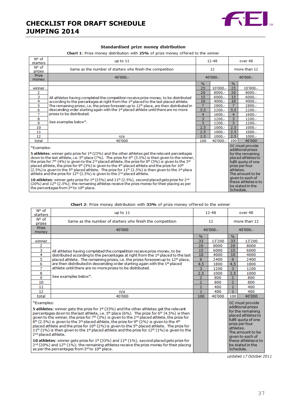

#### **Standardised prize money distribution**

Chart 1: Prize money distribution with 25% of prize money offered to the winner

| N° of<br>starters                                                                                                                                                                                                                                                                                                                                                       | up to $11$                                                                                                                                                                                                                                                                                                                                                                                                                                                       |                | $12 - 48$  |                 | over 48                                                                         |
|-------------------------------------------------------------------------------------------------------------------------------------------------------------------------------------------------------------------------------------------------------------------------------------------------------------------------------------------------------------------------|------------------------------------------------------------------------------------------------------------------------------------------------------------------------------------------------------------------------------------------------------------------------------------------------------------------------------------------------------------------------------------------------------------------------------------------------------------------|----------------|------------|-----------------|---------------------------------------------------------------------------------|
| N° of<br>prizes                                                                                                                                                                                                                                                                                                                                                         | Same as the number of starters who finish the competition                                                                                                                                                                                                                                                                                                                                                                                                        |                | 12         |                 | more than 12                                                                    |
| <b>Prize</b><br>money                                                                                                                                                                                                                                                                                                                                                   | 40'000 .-                                                                                                                                                                                                                                                                                                                                                                                                                                                        |                | $40'000 -$ |                 | 40'000 .-                                                                       |
|                                                                                                                                                                                                                                                                                                                                                                         |                                                                                                                                                                                                                                                                                                                                                                                                                                                                  | $\%$           |            | $\frac{0}{6}$   |                                                                                 |
| winner                                                                                                                                                                                                                                                                                                                                                                  |                                                                                                                                                                                                                                                                                                                                                                                                                                                                  | 25             | 10'000 .-  | 25              | 10'000 .-                                                                       |
| 2                                                                                                                                                                                                                                                                                                                                                                       |                                                                                                                                                                                                                                                                                                                                                                                                                                                                  | 20             | $8000 -$   | 20              | $8000 -$                                                                        |
| 3                                                                                                                                                                                                                                                                                                                                                                       | All athletes having completed the competition receive prize money, to be distributed                                                                                                                                                                                                                                                                                                                                                                             | 15             | $6000 -$   | 15              | $6000 -$                                                                        |
| 4                                                                                                                                                                                                                                                                                                                                                                       | according to the percentages at right from the 1 <sup>st</sup> placed to the last placed athlete.                                                                                                                                                                                                                                                                                                                                                                | 10             | $4000 -$   | 10              | $4000 -$                                                                        |
| 5                                                                                                                                                                                                                                                                                                                                                                       | The remaining prizes, i.e. the prizes foreseen up to $12th$ place, are then distributed in                                                                                                                                                                                                                                                                                                                                                                       | $\overline{7}$ | 2800.-     | $\overline{7}$  | 2800.-                                                                          |
| 6                                                                                                                                                                                                                                                                                                                                                                       | descending order starting again with the 1 <sup>st</sup> placed athlete until there are no more                                                                                                                                                                                                                                                                                                                                                                  | 5.5            | $2200 -$   | 5.5             | $2200 -$                                                                        |
| $\overline{7}$                                                                                                                                                                                                                                                                                                                                                          | prizes to be distributed.                                                                                                                                                                                                                                                                                                                                                                                                                                        | 4              | $1600 -$   | 4               | $1600 -$                                                                        |
| 8                                                                                                                                                                                                                                                                                                                                                                       | See examples below*.                                                                                                                                                                                                                                                                                                                                                                                                                                             | 3              | $1200 -$   | 3               | $1200 -$                                                                        |
| 9                                                                                                                                                                                                                                                                                                                                                                       |                                                                                                                                                                                                                                                                                                                                                                                                                                                                  | 3              | 1200.-     | 3               | $1200 -$                                                                        |
| 10                                                                                                                                                                                                                                                                                                                                                                      |                                                                                                                                                                                                                                                                                                                                                                                                                                                                  | 2.5            | $1000.-$   | 2.5             | $1000 -$                                                                        |
| 11                                                                                                                                                                                                                                                                                                                                                                      |                                                                                                                                                                                                                                                                                                                                                                                                                                                                  | 2.5            | $1000 -$   | 2.5             | $1000 -$                                                                        |
| 12                                                                                                                                                                                                                                                                                                                                                                      | n/a                                                                                                                                                                                                                                                                                                                                                                                                                                                              | 2.5            | $1000.-$   | 2.5             | $1000 -$                                                                        |
| total                                                                                                                                                                                                                                                                                                                                                                   | 40'000                                                                                                                                                                                                                                                                                                                                                                                                                                                           | 100            | 40'000 .-  | 100             | 40'000                                                                          |
| *Examples:                                                                                                                                                                                                                                                                                                                                                              | <b>5 athletes:</b> winner gets prize for $1st$ (25%) and the other athletes get the relevant percentages                                                                                                                                                                                                                                                                                                                                                         |                |            |                 | OC must provide<br>additional prizes<br>for the remaining                       |
|                                                                                                                                                                                                                                                                                                                                                                         | down to the last athlete, i.e. $5th$ place (7%). The prize for $6th$ (5.5%) is then given to the winner,<br>the prize for 7th (4%) is given to the 2nd placed athlete, the prize for 8th (3%) is given to the 3rd<br>placed athlete, the prize for 9th (3%) is given to the 4th placed athlete and the prize for 10th<br>(2.5%) is given to the 5 <sup>th</sup> placed athlete. The prize for 11 <sup>th</sup> (2.5%) is then given to the 1 <sup>st</sup> place |                |            | athletes.       | placed athletes to<br>fulfil quota of one<br>prize per four<br>The amount to be |
| athlete and the prize for $12th$ (2.5%) is given to the $2nd$ placed athlete.<br>10 athletes: winner gets prize for $1^{st}$ (25%) and $11^{th}$ (2.5%), second placed gets prize for $2^{nd}$<br>$(20%)$ and $12th$ (2.5%); the remaining athletes receive the prize money for their placing as per<br>the percentages from 3 <sup>rd</sup> to 10 <sup>th</sup> place. |                                                                                                                                                                                                                                                                                                                                                                                                                                                                  |                |            | <b>Cohodulo</b> | given to each of<br>these athletes is to<br>be stated in the                    |

| Chart 2: Prize money distribution with 33% of prize money offered to the winner |  |  |  |  |
|---------------------------------------------------------------------------------|--|--|--|--|
|---------------------------------------------------------------------------------|--|--|--|--|

| N° of<br>starters                             | up to $11$                                                                                                                                                                                                                                                                                                                                                                                                                                                                                                                                                                                                                                                                                                                                                                                                                                                                                                                             |                | $12 - 48$  |                | over 48                                                                                                                                                                                                      |
|-----------------------------------------------|----------------------------------------------------------------------------------------------------------------------------------------------------------------------------------------------------------------------------------------------------------------------------------------------------------------------------------------------------------------------------------------------------------------------------------------------------------------------------------------------------------------------------------------------------------------------------------------------------------------------------------------------------------------------------------------------------------------------------------------------------------------------------------------------------------------------------------------------------------------------------------------------------------------------------------------|----------------|------------|----------------|--------------------------------------------------------------------------------------------------------------------------------------------------------------------------------------------------------------|
| N° of<br>prizes                               | Same as the number of starters who finish the competition                                                                                                                                                                                                                                                                                                                                                                                                                                                                                                                                                                                                                                                                                                                                                                                                                                                                              |                | 12         |                | more than 12                                                                                                                                                                                                 |
| <b>Prize</b><br>money                         | 40'000                                                                                                                                                                                                                                                                                                                                                                                                                                                                                                                                                                                                                                                                                                                                                                                                                                                                                                                                 |                | $40'000 -$ |                | $40'000 -$                                                                                                                                                                                                   |
|                                               |                                                                                                                                                                                                                                                                                                                                                                                                                                                                                                                                                                                                                                                                                                                                                                                                                                                                                                                                        | $\frac{9}{6}$  |            | $\%$           |                                                                                                                                                                                                              |
| winner                                        |                                                                                                                                                                                                                                                                                                                                                                                                                                                                                                                                                                                                                                                                                                                                                                                                                                                                                                                                        | 33             | 13'200     | 33             | 13'200                                                                                                                                                                                                       |
| 2                                             |                                                                                                                                                                                                                                                                                                                                                                                                                                                                                                                                                                                                                                                                                                                                                                                                                                                                                                                                        | 20             | 8000       | 20             | 8000                                                                                                                                                                                                         |
| з                                             | All athletes having completed the competition receive prize money, to be                                                                                                                                                                                                                                                                                                                                                                                                                                                                                                                                                                                                                                                                                                                                                                                                                                                               | 15             | 6000       | 15             | 6000                                                                                                                                                                                                         |
| 4                                             | distributed according to the percentages at right from the 1st placed to the last                                                                                                                                                                                                                                                                                                                                                                                                                                                                                                                                                                                                                                                                                                                                                                                                                                                      | 10             | 4000       | 10             | 4000                                                                                                                                                                                                         |
| 5                                             | placed athlete. The remaining prizes, i.e. the prizes foreseen up to 12 <sup>th</sup> place,                                                                                                                                                                                                                                                                                                                                                                                                                                                                                                                                                                                                                                                                                                                                                                                                                                           | 6              | 2400       | 6              | 2400                                                                                                                                                                                                         |
| 6                                             | are then distributed in descending order starting again with the 1st placed                                                                                                                                                                                                                                                                                                                                                                                                                                                                                                                                                                                                                                                                                                                                                                                                                                                            | 4.5            | 1800       | 4.5            | 1800                                                                                                                                                                                                         |
| 7                                             | athlete until there are no more prizes to be distributed.                                                                                                                                                                                                                                                                                                                                                                                                                                                                                                                                                                                                                                                                                                                                                                                                                                                                              | 3              | 1200       | 3              | 1200                                                                                                                                                                                                         |
| 8                                             |                                                                                                                                                                                                                                                                                                                                                                                                                                                                                                                                                                                                                                                                                                                                                                                                                                                                                                                                        | 2.5            | 1000       | 2.5            | 1000                                                                                                                                                                                                         |
| 9                                             | See examples below*.                                                                                                                                                                                                                                                                                                                                                                                                                                                                                                                                                                                                                                                                                                                                                                                                                                                                                                                   | $\overline{2}$ | 800        | $\overline{2}$ | 800                                                                                                                                                                                                          |
| 10                                            |                                                                                                                                                                                                                                                                                                                                                                                                                                                                                                                                                                                                                                                                                                                                                                                                                                                                                                                                        | 2              | 800        | $\overline{2}$ | 800                                                                                                                                                                                                          |
| 11                                            |                                                                                                                                                                                                                                                                                                                                                                                                                                                                                                                                                                                                                                                                                                                                                                                                                                                                                                                                        | $\mathbf{1}$   | 400        | $\mathbf{1}$   | 400                                                                                                                                                                                                          |
| 12                                            | n/a                                                                                                                                                                                                                                                                                                                                                                                                                                                                                                                                                                                                                                                                                                                                                                                                                                                                                                                                    | 1              | 400        | 1              | 400                                                                                                                                                                                                          |
| total                                         | 40'000                                                                                                                                                                                                                                                                                                                                                                                                                                                                                                                                                                                                                                                                                                                                                                                                                                                                                                                                 | 100            | 40'000     | 100            | 40'000                                                                                                                                                                                                       |
| *Examples:<br>2 <sup>nd</sup> placed athlete. | 5 athletes: winner gets the prize for 1 <sup>st</sup> (33%) and the other athletes get the relevant<br>percentages down to the last athlete, i.e. 5 <sup>th</sup> place (6%). The prize for 6 <sup>th</sup> (4.5%) is then<br>given to the winner, the prize for $7th$ (3%) is given to the $2nd$ placed athlete, the prize for<br>$8th$ (2.5%) is given to the 3 <sup>rd</sup> placed athlete, the prize for 9 <sup>th</sup> (2%) is given to the 4 <sup>th</sup><br>placed athlete and the prize for 10 <sup>th</sup> (2%) is given to the 5 <sup>th</sup> placed athlete. The prize for<br>$11^{th}$ (1%) is then given to the 1 <sup>st</sup> placed athlete and the prize for 12 <sup>th</sup> (1%) is given to the<br>10 athletes: winner gets prize for $1st$ (33%) and $11th$ (1%), second placed gets prize for<br>$2^{nd}$ (20%) and 12 <sup>th</sup> (1%); the remaining athletes receive the prize money for their placing |                |            | athletes.      | OC must provide<br>additional prizes<br>for the remaining<br>placed athletes to<br>fulfil quota of one<br>prize per four<br>The amount to be<br>given to each of<br>these athletes is to<br>be stated in the |
|                                               | as per the percentages from 3rd to 10th place.                                                                                                                                                                                                                                                                                                                                                                                                                                                                                                                                                                                                                                                                                                                                                                                                                                                                                         |                |            | Schedule.      |                                                                                                                                                                                                              |

updated 17 October 2011